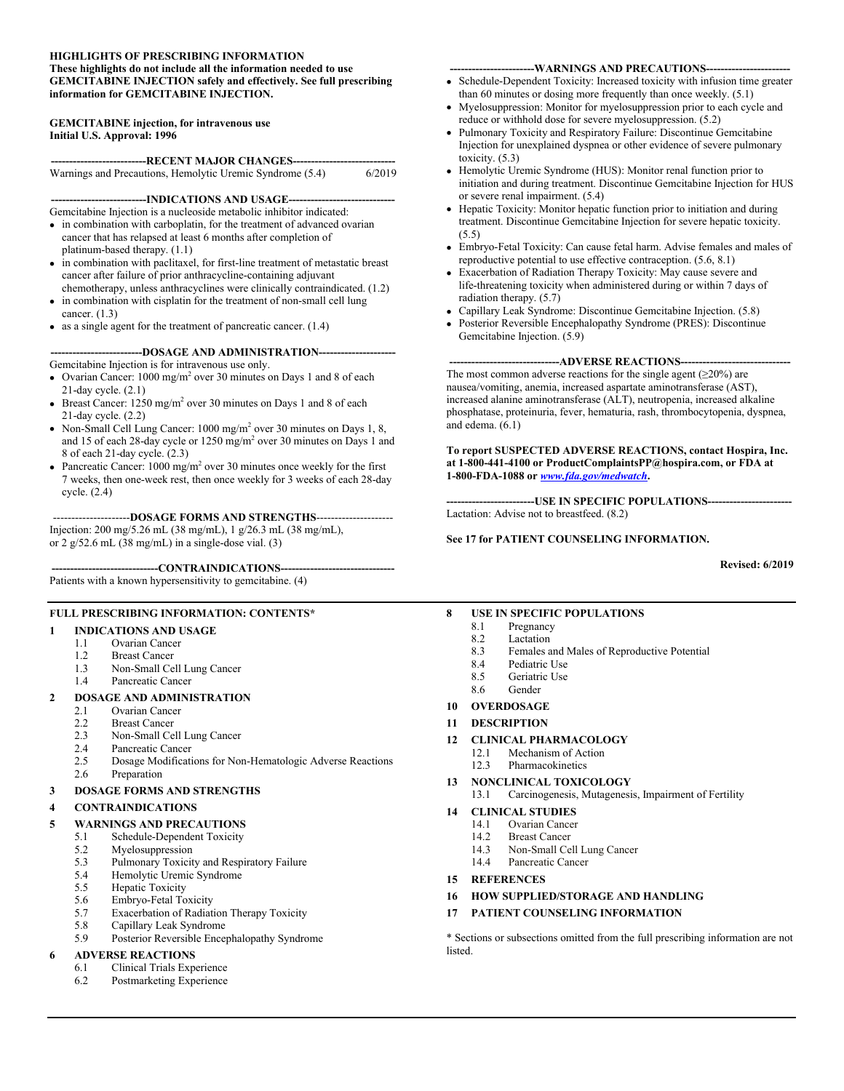#### **HIGHLIGHTS OF PRESCRIBING INFORMATION These highlights do not include all the information needed to use GEMCITABINE INJECTION safely and effectively. See full prescribing information for GEMCITABINE INJECTION.**

#### **GEMCITABINE injection, for intravenous use Initial U.S. Approval: 1996**

| -----------------------------RECENT MAJOR CHANGES------------------------------- |        |
|----------------------------------------------------------------------------------|--------|
| Warnings and Precautions, Hemolytic Uremic Syndrome (5.4)                        | 6/2019 |

#### **--------------------------INDICATIONS AND USAGE-----------------------------**

Gemcitabine Injection is a nucleoside metabolic inhibitor indicated:

- in combination with carboplatin, for the treatment of advanced ovarian cancer that has relapsed at least 6 months after completion of platinum-based therapy. (1.1)
- in combination with paclitaxel, for first-line treatment of metastatic breast cancer after failure of prior anthracycline-containing adjuvant chemotherapy, unless anthracyclines were clinically contraindicated. (1.2)
- in combination with cisplatin for the treatment of non-small cell lung cancer. (1.3)
- as a single agent for the treatment of pancreatic cancer. (1.4)

**-------------------------DOSAGE AND ADMINISTRATION---------------------**

#### Gemcitabine Injection is for intravenous use only.

- Ovarian Cancer:  $1000 \text{ mg/m}^2$  over 30 minutes on Days 1 and 8 of each 21-day cycle. (2.1)
- Breast Cancer:  $1250 \text{ mg/m}^2$  over 30 minutes on Days 1 and 8 of each 21-day cycle. (2.2)
- Non-Small Cell Lung Cancer:  $1000 \text{ mg/m}^2$  over 30 minutes on Days 1, 8, and 15 of each 28-day cycle or 1250 mg/m<sup>2</sup> over 30 minutes on Days 1 and 8 of each 21-day cycle. (2.3)
- Pancreatic Cancer:  $1000 \text{ mg/m}^2$  over 30 minutes once weekly for the first 7 weeks, then one-week rest, then once weekly for 3 weeks of each 28-day cycle. (2.4)

---------------------**DOSAGE FORMS AND STRENGTHS**---------------------

Injection: 200 mg/5.26 mL (38 mg/mL), 1 g/26.3 mL (38 mg/mL), or 2 g/52.6 mL (38 mg/mL) in a single-dose vial. (3)

#### ---CONTRAINDICATIONS--

Patients with a known hypersensitivity to gemcitabine. (4)

#### **FULL PRESCRIBING INFORMATION: CONTENTS\***

#### **1 INDICATIONS AND USAGE**

- 1.1 Ovarian Cancer<br>1.2 Breast Cancer
- **Breast Cancer**
- 1.3 Non-Small Cell Lung Cancer
- 1.4 Pancreatic Cancer

# **2 DOSAGE AND ADMINISTRATION**

- Ovarian Cancer
- 2.2 Breast Cancer
- 2.3 Non-Small Cell Lung Cancer
- 2.4 Pancreatic Cancer<br>2.5 Dosage Modificati
- 2.5 Dosage Modifications for Non-Hematologic Adverse Reactions 2.6 Preparation

#### **3 DOSAGE FORMS AND STRENGTHS**

#### **4 CONTRAINDICATIONS**

#### **5 WARNINGS AND PRECAUTIONS**

- 5.1 Schedule-Dependent Toxicity
- 5.2 Myelosuppression<br>5.3 Pulmonary Toxicity
- Pulmonary Toxicity and Respiratory Failure
- 5.4 Hemolytic Uremic Syndrome
- 5.5 Hepatic Toxicity
- 5.6 Embryo-Fetal Toxicity
- 5.7 Exacerbation of Radiation Therapy Toxicity
- 5.8 Capillary Leak Syndrome
- 5.9 Posterior Reversible Encephalopathy Syndrome

# **6 ADVERSE REACTIONS**<br>**6.1 Clinical Trials Experience**

- 6.1 Clinical Trials Experience
- 6.2 Postmarketing Experience

#### **-----------------------WARNINGS AND PRECAUTIONS-----------------------**

- Schedule-Dependent Toxicity: Increased toxicity with infusion time greater than 60 minutes or dosing more frequently than once weekly. (5.1)
- Myelosuppression: Monitor for myelosuppression prior to each cycle and reduce or withhold dose for severe myelosuppression. (5.2)
- Pulmonary Toxicity and Respiratory Failure: Discontinue Gemcitabine Injection for unexplained dyspnea or other evidence of severe pulmonary toxicity. (5.3)
- Hemolytic Uremic Syndrome (HUS): Monitor renal function prior to initiation and during treatment. Discontinue Gemcitabine Injection for HUS or severe renal impairment. (5.4)
- Hepatic Toxicity: Monitor hepatic function prior to initiation and during treatment. Discontinue Gemcitabine Injection for severe hepatic toxicity.  $(5.5)$
- Embryo-Fetal Toxicity: Can cause fetal harm. Advise females and males of reproductive potential to use effective contraception. (5.6, 8.1)
- Exacerbation of Radiation Therapy Toxicity: May cause severe and life-threatening toxicity when administered during or within 7 days of radiation therapy. (5.7)
- Capillary Leak Syndrome: Discontinue Gemcitabine Injection. (5.8)
- Posterior Reversible Encephalopathy Syndrome (PRES): Discontinue Gemcitabine Injection. (5.9)

#### ---ADVERSE REACTIONS-----

The most common adverse reactions for the single agent  $(\geq 20\%)$  are nausea/vomiting, anemia, increased aspartate aminotransferase (AST), increased alanine aminotransferase (ALT), neutropenia, increased alkaline phosphatase, proteinuria, fever, hematuria, rash, thrombocytopenia, dyspnea, and edema. (6.1)

**To report SUSPECTED ADVERSE REACTIONS, contact Hospira, Inc. at 1-800-441-4100 or ProductComplaintsPP@hospira.com, or FDA at 1-800-FDA-1088 or** *www.fda.gov/medwatch***.**

**------------------------USE IN SPECIFIC POPULATIONS-----------------------** Lactation: Advise not to breastfeed. (8.2)

#### **See 17 for PATIENT COUNSELING INFORMATION.**

**Revised: 6/2019**

#### **8 USE IN SPECIFIC POPULATIONS**

- 8.1 Pregnancy
	- 8.2 Lactation<br>8.3 Females a
	- Females and Males of Reproductive Potential
	- 8.4 Pediatric Use
- 8.5 Geriatric Use
- 8.6 Gender
- **10 OVERDOSAGE**
- **11 DESCRIPTION**

#### **12 CLINICAL PHARMACOLOGY**

- 12.1 Mechanism of Action<br>12.3 Pharmacokinetics
- **Pharmacokinetics**
- **13 NONCLINICAL TOXICOLOGY**
	- 13.1 Carcinogenesis, Mutagenesis, Impairment of Fertility
- **14 CLINICAL STUDIES**
	- 14.1 Ovarian Cancer
	- 14.2 Breast Cancer
	- 14.3 Non-Small Cell Lung Cancer<br>14.4 Pancreatic Cancer
	- Pancreatic Cancer
- **15 REFERENCES**
- **16 HOW SUPPLIED/STORAGE AND HANDLING**
- **17 PATIENT COUNSELING INFORMATION**

\* Sections or subsections omitted from the full prescribing information are not listed.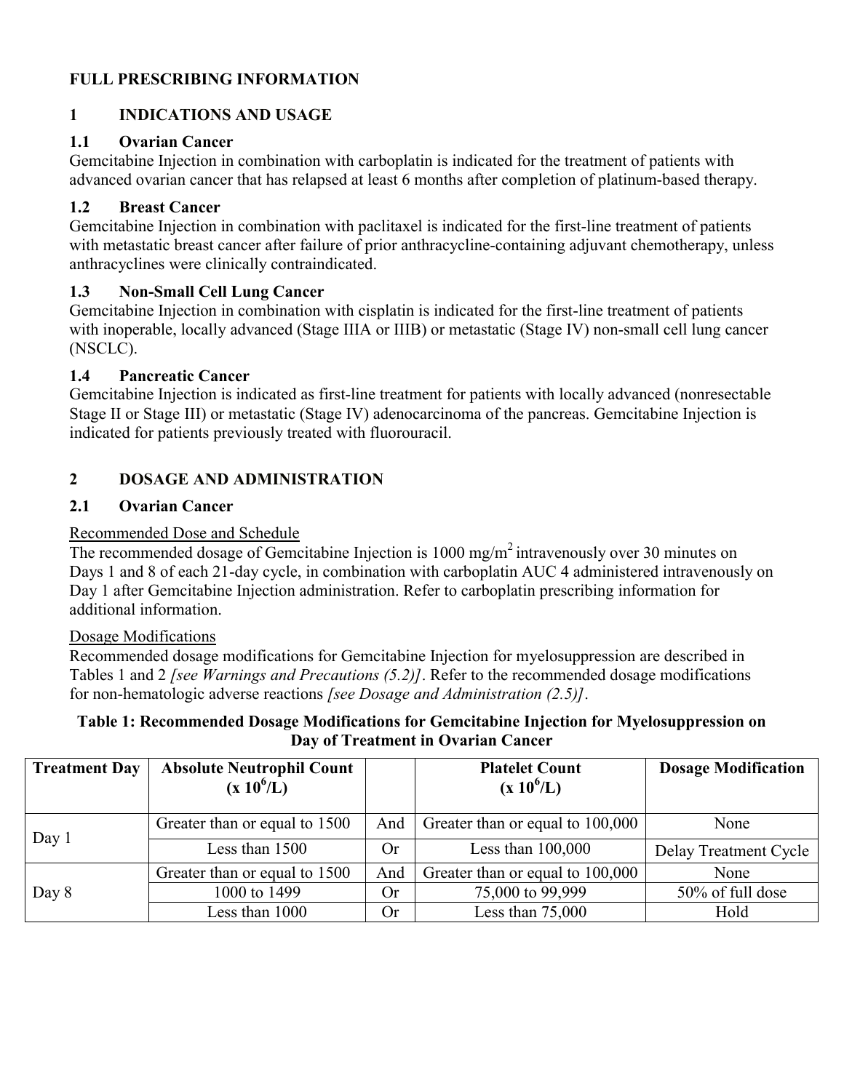## **FULL PRESCRIBING INFORMATION**

## **1 INDICATIONS AND USAGE**

### **1.1 Ovarian Cancer**

Gemcitabine Injection in combination with carboplatin is indicated for the treatment of patients with advanced ovarian cancer that has relapsed at least 6 months after completion of platinum-based therapy.

### **1.2 Breast Cancer**

Gemcitabine Injection in combination with paclitaxel is indicated for the first-line treatment of patients with metastatic breast cancer after failure of prior anthracycline-containing adjuvant chemotherapy, unless anthracyclines were clinically contraindicated.

## **1.3 Non-Small Cell Lung Cancer**

Gemcitabine Injection in combination with cisplatin is indicated for the first-line treatment of patients with inoperable, locally advanced (Stage IIIA or IIIB) or metastatic (Stage IV) non-small cell lung cancer (NSCLC).

## **1.4 Pancreatic Cancer**

Gemcitabine Injection is indicated as first-line treatment for patients with locally advanced (nonresectable Stage II or Stage III) or metastatic (Stage IV) adenocarcinoma of the pancreas. Gemcitabine Injection is indicated for patients previously treated with fluorouracil.

## **2 DOSAGE AND ADMINISTRATION**

### **2.1 Ovarian Cancer**

### Recommended Dose and Schedule

The recommended dosage of Gemcitabine Injection is 1000 mg/m<sup>2</sup> intravenously over 30 minutes on Days 1 and 8 of each 21-day cycle, in combination with carboplatin AUC 4 administered intravenously on Day 1 after Gemcitabine Injection administration. Refer to carboplatin prescribing information for additional information.

### Dosage Modifications

Recommended dosage modifications for Gemcitabine Injection for myelosuppression are described in Tables 1 and 2 *[see Warnings and Precautions (5.2)]*. Refer to the recommended dosage modifications for non-hematologic adverse reactions *[see Dosage and Administration (2.5)]*.

#### **Table 1: Recommended Dosage Modifications for Gemcitabine Injection for Myelosuppression on Day of Treatment in Ovarian Cancer**

| <b>Treatment Day</b> | <b>Absolute Neutrophil Count</b><br>$(x 10^6/L)$ |           | <b>Platelet Count</b><br>$(x 10^6/L)$ | <b>Dosage Modification</b> |
|----------------------|--------------------------------------------------|-----------|---------------------------------------|----------------------------|
|                      | Greater than or equal to 1500                    | And       | Greater than or equal to 100,000      | None                       |
| Day $1$              | Less than 1500                                   | <b>Or</b> | Less than $100,000$                   | Delay Treatment Cycle      |
|                      | Greater than or equal to 1500                    | And       | Greater than or equal to 100,000      | None                       |
| Day 8                | 1000 to 1499                                     | Or        | 75,000 to 99,999                      | 50% of full dose           |
|                      | Less than 1000                                   | Or        | Less than $75,000$                    | Hold                       |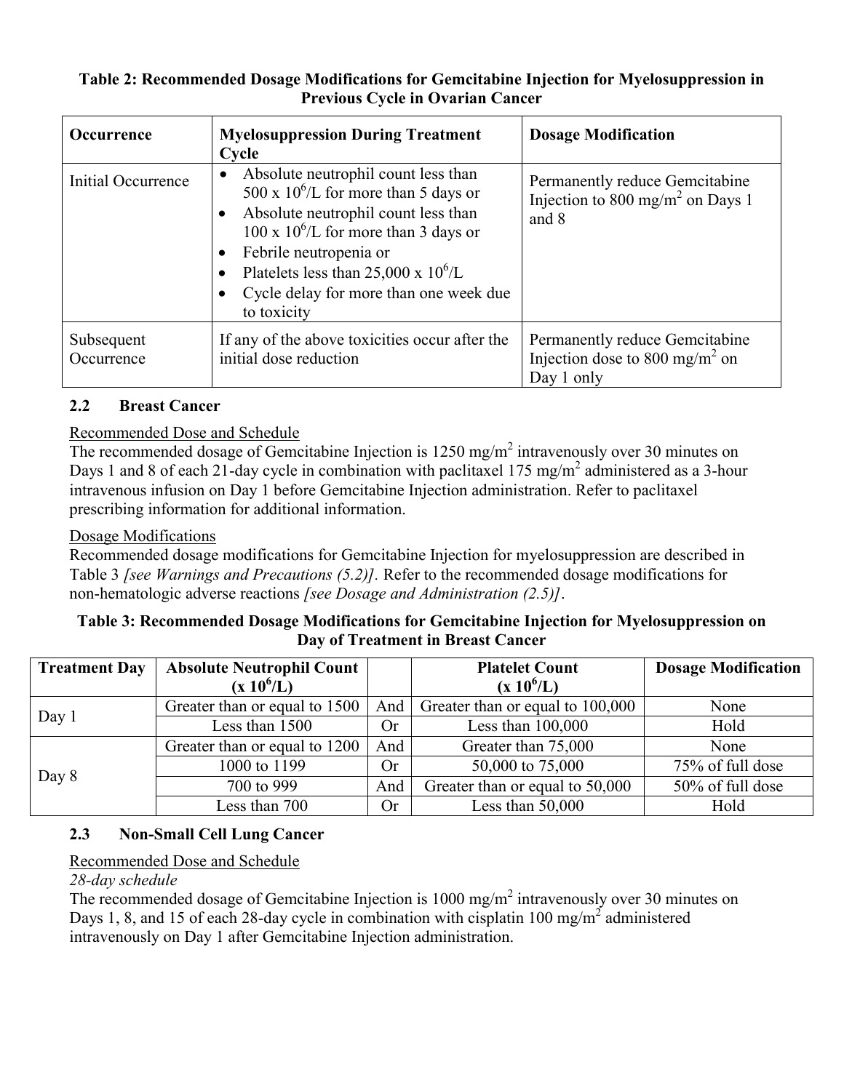### **Table 2: Recommended Dosage Modifications for Gemcitabine Injection for Myelosuppression in Previous Cycle in Ovarian Cancer**

| <b>Occurrence</b>        | <b>Myelosuppression During Treatment</b><br>Cycle                                                                                                                                                                                                                                                                                           | <b>Dosage Modification</b>                                                                 |
|--------------------------|---------------------------------------------------------------------------------------------------------------------------------------------------------------------------------------------------------------------------------------------------------------------------------------------------------------------------------------------|--------------------------------------------------------------------------------------------|
| Initial Occurrence       | Absolute neutrophil count less than<br>$\bullet$<br>500 x $10^6$ /L for more than 5 days or<br>Absolute neutrophil count less than<br>$100 \times 10^{6}$ /L for more than 3 days or<br>Febrile neutropenia or<br>$\bullet$<br>Platelets less than 25,000 x $10^6$ /L<br>$\bullet$<br>Cycle delay for more than one week due<br>to toxicity | Permanently reduce Gemcitabine<br>Injection to 800 mg/m <sup>2</sup> on Days 1<br>and 8    |
| Subsequent<br>Occurrence | If any of the above toxicities occur after the<br>initial dose reduction                                                                                                                                                                                                                                                                    | Permanently reduce Gemcitabine<br>Injection dose to 800 mg/m <sup>2</sup> on<br>Day 1 only |

## **2.2 Breast Cancer**

## Recommended Dose and Schedule

The recommended dosage of Gemcitabine Injection is  $1250 \text{ mg/m}^2$  intravenously over 30 minutes on Days 1 and 8 of each 21-day cycle in combination with paclitaxel 175 mg/m<sup>2</sup> administered as a 3-hour intravenous infusion on Day 1 before Gemcitabine Injection administration. Refer to paclitaxel prescribing information for additional information.

### Dosage Modifications

Recommended dosage modifications for Gemcitabine Injection for myelosuppression are described in Table 3 *[see Warnings and Precautions (5.2)].* Refer to the recommended dosage modifications for non-hematologic adverse reactions *[see Dosage and Administration (2.5)]*.

## **Table 3: Recommended Dosage Modifications for Gemcitabine Injection for Myelosuppression on Day of Treatment in Breast Cancer**

| <b>Treatment Day</b> | <b>Absolute Neutrophil Count</b>     |           | <b>Platelet Count</b>            | <b>Dosage Modification</b> |
|----------------------|--------------------------------------|-----------|----------------------------------|----------------------------|
|                      | $(x 10^6/L)$                         |           | $(x 10^6/L)$                     |                            |
|                      | Greater than or equal to 1500        | And       | Greater than or equal to 100,000 | None                       |
| Day 1                | Less than 1500                       | <b>Or</b> | Less than $100,000$              | Hold                       |
|                      | And<br>Greater than or equal to 1200 |           | Greater than 75,000              | None                       |
| Day 8                | 1000 to 1199                         | <b>Or</b> | 50,000 to 75,000                 | 75% of full dose           |
|                      | 700 to 999                           | And       | Greater than or equal to 50,000  | 50% of full dose           |
|                      | Less than 700                        | Or        | Less than $50,000$               | Hold                       |

## **2.3 Non-Small Cell Lung Cancer**

## Recommended Dose and Schedule

### *28-day schedule*

The recommended dosage of Gemcitabine Injection is  $1000 \text{ mg/m}^2$  intravenously over 30 minutes on Days 1, 8, and 15 of each 28-day cycle in combination with cisplatin 100 mg/m<sup>2</sup> administered intravenously on Day 1 after Gemcitabine Injection administration.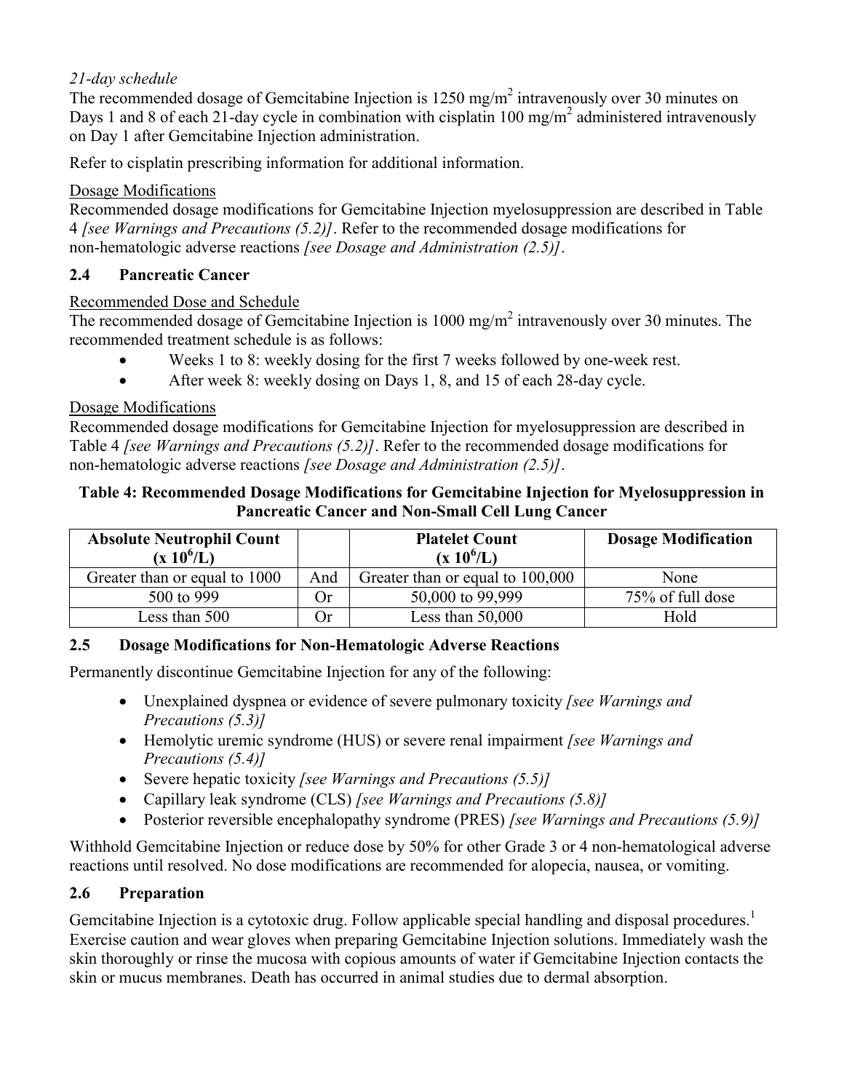## *21-day schedule*

The recommended dosage of Gemcitabine Injection is  $1250 \text{ mg/m}^2$  intravenously over 30 minutes on Days 1 and 8 of each 21-day cycle in combination with cisplatin 100 mg/m<sup>2</sup> administered intravenously on Day 1 after Gemcitabine Injection administration.

Refer to cisplatin prescribing information for additional information.

## Dosage Modifications

Recommended dosage modifications for Gemcitabine Injection myelosuppression are described in Table 4 *[see Warnings and Precautions (5.2)]*. Refer to the recommended dosage modifications for non-hematologic adverse reactions *[see Dosage and Administration (2.5)]*.

## **2.4 Pancreatic Cancer**

### Recommended Dose and Schedule

The recommended dosage of Gemcitabine Injection is  $1000 \text{ mg/m}^2$  intravenously over 30 minutes. The recommended treatment schedule is as follows:

- Weeks 1 to 8: weekly dosing for the first 7 weeks followed by one-week rest.
- After week 8: weekly dosing on Days 1, 8, and 15 of each 28-day cycle.

### Dosage Modifications

Recommended dosage modifications for Gemcitabine Injection for myelosuppression are described in Table 4 *[see Warnings and Precautions (5.2)]*. Refer to the recommended dosage modifications for non-hematologic adverse reactions *[see Dosage and Administration (2.5)]*.

### **Table 4: Recommended Dosage Modifications for Gemcitabine Injection for Myelosuppression in Pancreatic Cancer and Non-Small Cell Lung Cancer**

| <b>Absolute Neutrophil Count</b><br>$(x 10^6/L)$ |      | <b>Platelet Count</b><br>$(x 10^6/L)$ | <b>Dosage Modification</b> |
|--------------------------------------------------|------|---------------------------------------|----------------------------|
| Greater than or equal to 1000                    | And  | Greater than or equal to 100,000      | None                       |
| 500 to 999                                       | .)r  | 50,000 to 99,999                      | 75% of full dose           |
| Less than 500                                    | . )r | Less than $50,000$                    | Hold                       |

## **2.5 Dosage Modifications for Non-Hematologic Adverse Reactions**

Permanently discontinue Gemcitabine Injection for any of the following:

- Unexplained dyspnea or evidence of severe pulmonary toxicity *[see Warnings and Precautions (5.3)]*
- Hemolytic uremic syndrome (HUS) or severe renal impairment *[see Warnings and Precautions (5.4)]*
- Severe hepatic toxicity *[see Warnings and Precautions (5.5)]*
- Capillary leak syndrome (CLS) *[see Warnings and Precautions (5.8)]*
- Posterior reversible encephalopathy syndrome (PRES) *[see Warnings and Precautions (5.9)]*

Withhold Gemcitabine Injection or reduce dose by 50% for other Grade 3 or 4 non-hematological adverse reactions until resolved. No dose modifications are recommended for alopecia, nausea, or vomiting.

### **2.6 Preparation**

Gemcitabine Injection is a cytotoxic drug. Follow applicable special handling and disposal procedures.<sup>1</sup> Exercise caution and wear gloves when preparing Gemcitabine Injection solutions. Immediately wash the skin thoroughly or rinse the mucosa with copious amounts of water if Gemcitabine Injection contacts the skin or mucus membranes. Death has occurred in animal studies due to dermal absorption.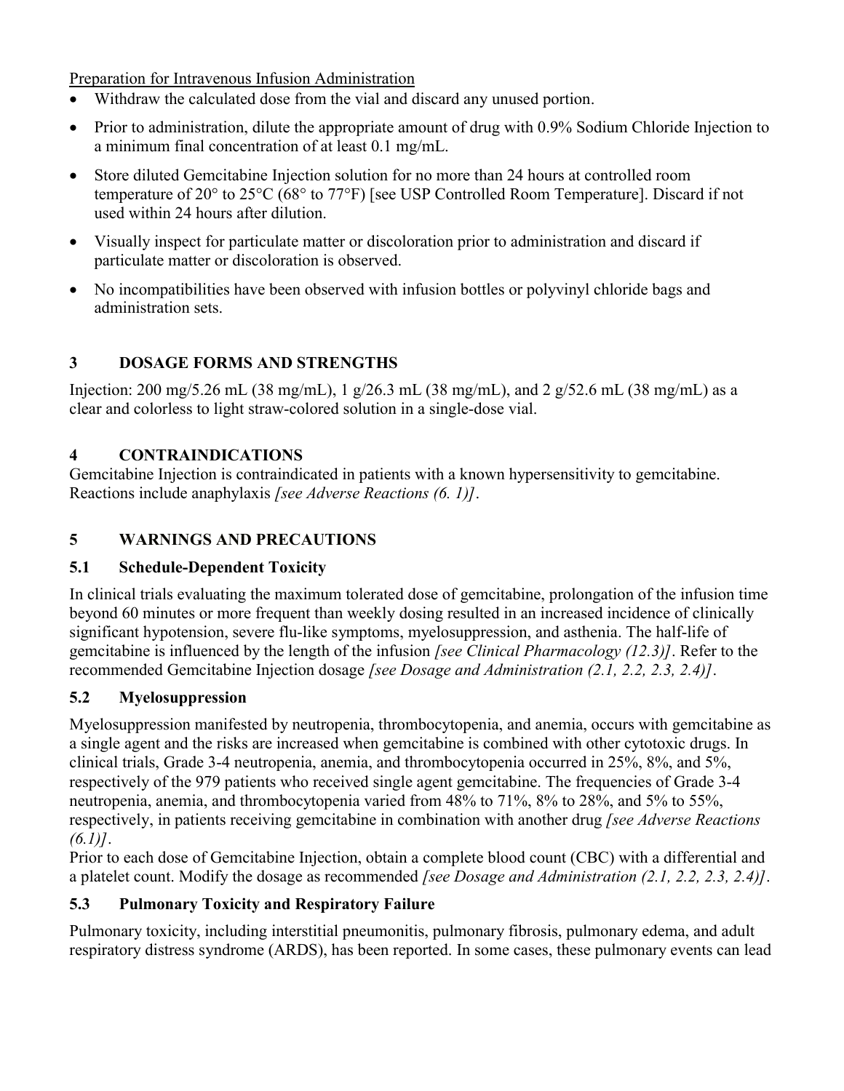Preparation for Intravenous Infusion Administration

- Withdraw the calculated dose from the vial and discard any unused portion.
- Prior to administration, dilute the appropriate amount of drug with 0.9% Sodium Chloride Injection to a minimum final concentration of at least 0.1 mg/mL.
- Store diluted Gemcitabine Injection solution for no more than 24 hours at controlled room temperature of 20° to 25°C (68° to 77°F) [see USP Controlled Room Temperature]. Discard if not used within 24 hours after dilution.
- Visually inspect for particulate matter or discoloration prior to administration and discard if particulate matter or discoloration is observed.
- No incompatibilities have been observed with infusion bottles or polyvinyl chloride bags and administration sets.

## **3 DOSAGE FORMS AND STRENGTHS**

Injection: 200 mg/5.26 mL (38 mg/mL), 1 g/26.3 mL (38 mg/mL), and 2 g/52.6 mL (38 mg/mL) as a clear and colorless to light straw-colored solution in a single-dose vial.

## **4 CONTRAINDICATIONS**

Gemcitabine Injection is contraindicated in patients with a known hypersensitivity to gemcitabine. Reactions include anaphylaxis *[see Adverse Reactions (6. 1)]*.

## **5 WARNINGS AND PRECAUTIONS**

## **5.1 Schedule-Dependent Toxicity**

In clinical trials evaluating the maximum tolerated dose of gemcitabine, prolongation of the infusion time beyond 60 minutes or more frequent than weekly dosing resulted in an increased incidence of clinically significant hypotension, severe flu-like symptoms, myelosuppression, and asthenia. The half-life of gemcitabine is influenced by the length of the infusion *[see Clinical Pharmacology (12.3)]*. Refer to the recommended Gemcitabine Injection dosage *[see Dosage and Administration (2.1, 2.2, 2.3, 2.4)]*.

## **5.2 Myelosuppression**

Myelosuppression manifested by neutropenia, thrombocytopenia, and anemia, occurs with gemcitabine as a single agent and the risks are increased when gemcitabine is combined with other cytotoxic drugs. In clinical trials, Grade 3-4 neutropenia, anemia, and thrombocytopenia occurred in 25%, 8%, and 5%, respectively of the 979 patients who received single agent gemcitabine. The frequencies of Grade 3-4 neutropenia, anemia, and thrombocytopenia varied from 48% to 71%, 8% to 28%, and 5% to 55%, respectively, in patients receiving gemcitabine in combination with another drug *[see Adverse Reactions (6.1)]*.

Prior to each dose of Gemcitabine Injection, obtain a complete blood count (CBC) with a differential and a platelet count. Modify the dosage as recommended *[see Dosage and Administration (2.1, 2.2, 2.3, 2.4)]*.

## **5.3 Pulmonary Toxicity and Respiratory Failure**

Pulmonary toxicity, including interstitial pneumonitis, pulmonary fibrosis, pulmonary edema, and adult respiratory distress syndrome (ARDS), has been reported. In some cases, these pulmonary events can lead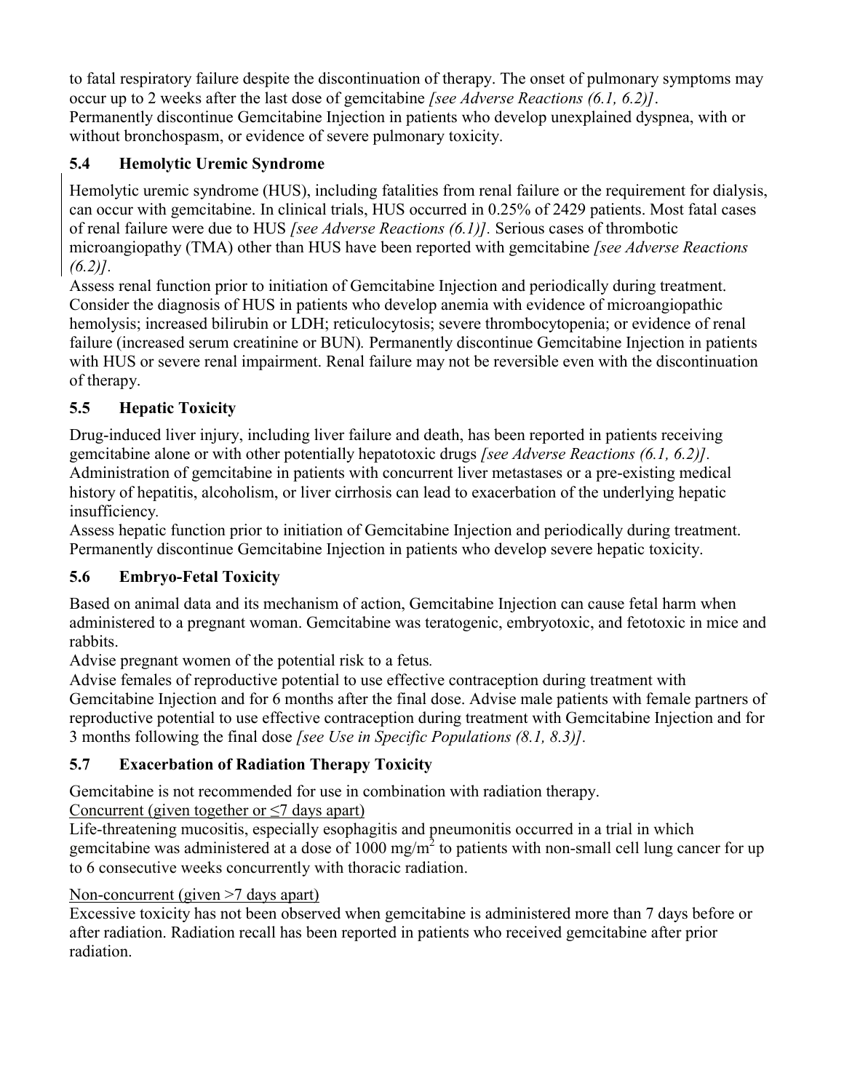to fatal respiratory failure despite the discontinuation of therapy. The onset of pulmonary symptoms may occur up to 2 weeks after the last dose of gemcitabine *[see Adverse Reactions (6.1, 6.2)]*. Permanently discontinue Gemcitabine Injection in patients who develop unexplained dyspnea, with or without bronchospasm, or evidence of severe pulmonary toxicity.

# **5.4 Hemolytic Uremic Syndrome**

Hemolytic uremic syndrome (HUS), including fatalities from renal failure or the requirement for dialysis, can occur with gemcitabine. In clinical trials, HUS occurred in 0.25% of 2429 patients. Most fatal cases of renal failure were due to HUS *[see Adverse Reactions (6.1)].* Serious cases of thrombotic microangiopathy (TMA) other than HUS have been reported with gemcitabine *[see Adverse Reactions (6.2)].*

Assess renal function prior to initiation of Gemcitabine Injection and periodically during treatment. Consider the diagnosis of HUS in patients who develop anemia with evidence of microangiopathic hemolysis; increased bilirubin or LDH; reticulocytosis; severe thrombocytopenia; or evidence of renal failure (increased serum creatinine or BUN)*.* Permanently discontinue Gemcitabine Injection in patients with HUS or severe renal impairment. Renal failure may not be reversible even with the discontinuation of therapy.

# **5.5 Hepatic Toxicity**

Drug-induced liver injury, including liver failure and death, has been reported in patients receiving gemcitabine alone or with other potentially hepatotoxic drugs *[see Adverse Reactions (6.1, 6.2)].* Administration of gemcitabine in patients with concurrent liver metastases or a pre-existing medical history of hepatitis, alcoholism, or liver cirrhosis can lead to exacerbation of the underlying hepatic insufficiency*.*

Assess hepatic function prior to initiation of Gemcitabine Injection and periodically during treatment. Permanently discontinue Gemcitabine Injection in patients who develop severe hepatic toxicity.

# **5.6 Embryo-Fetal Toxicity**

Based on animal data and its mechanism of action, Gemcitabine Injection can cause fetal harm when administered to a pregnant woman. Gemcitabine was teratogenic, embryotoxic, and fetotoxic in mice and rabbits.

Advise pregnant women of the potential risk to a fetus*.*

Advise females of reproductive potential to use effective contraception during treatment with Gemcitabine Injection and for 6 months after the final dose. Advise male patients with female partners of reproductive potential to use effective contraception during treatment with Gemcitabine Injection and for 3 months following the final dose *[see Use in Specific Populations (8.1, 8.3)].*

# **5.7 Exacerbation of Radiation Therapy Toxicity**

Gemcitabine is not recommended for use in combination with radiation therapy.

# Concurrent (given together or  $\leq$ 7 days apart)

Life-threatening mucositis, especially esophagitis and pneumonitis occurred in a trial in which gemcitabine was administered at a dose of 1000 mg/m<sup>2</sup> to patients with non-small cell lung cancer for up to 6 consecutive weeks concurrently with thoracic radiation.

# Non-concurrent (given >7 days apart)

Excessive toxicity has not been observed when gemcitabine is administered more than 7 days before or after radiation. Radiation recall has been reported in patients who received gemcitabine after prior radiation.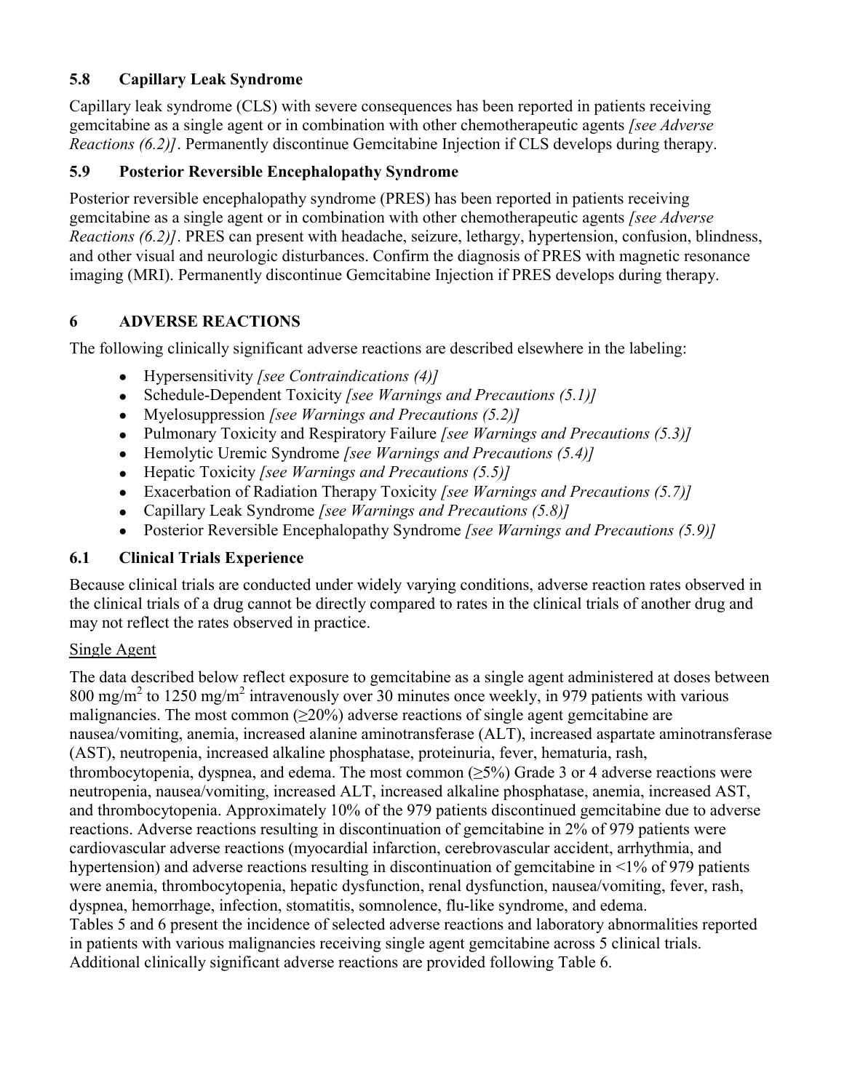## **5.8 Capillary Leak Syndrome**

Capillary leak syndrome (CLS) with severe consequences has been reported in patients receiving gemcitabine as a single agent or in combination with other chemotherapeutic agents *[see Adverse Reactions (6.2)]*. Permanently discontinue Gemcitabine Injection if CLS develops during therapy.

## **5.9 Posterior Reversible Encephalopathy Syndrome**

Posterior reversible encephalopathy syndrome (PRES) has been reported in patients receiving gemcitabine as a single agent or in combination with other chemotherapeutic agents *[see Adverse Reactions (6.2)]*. PRES can present with headache, seizure, lethargy, hypertension, confusion, blindness, and other visual and neurologic disturbances. Confirm the diagnosis of PRES with magnetic resonance imaging (MRI). Permanently discontinue Gemcitabine Injection if PRES develops during therapy.

## **6 ADVERSE REACTIONS**

The following clinically significant adverse reactions are described elsewhere in the labeling:

- Hypersensitivity *[see Contraindications (4)]*
- Schedule-Dependent Toxicity *[see Warnings and Precautions (5.1)]*
- Myelosuppression *[see Warnings and Precautions (5.2)]*
- Pulmonary Toxicity and Respiratory Failure *[see Warnings and Precautions (5.3)]*
- Hemolytic Uremic Syndrome *[see Warnings and Precautions (5.4)]*
- Hepatic Toxicity *[see Warnings and Precautions (5.5)]*
- Exacerbation of Radiation Therapy Toxicity *[see Warnings and Precautions (5.7)]*
- Capillary Leak Syndrome *[see Warnings and Precautions (5.8)]*
- Posterior Reversible Encephalopathy Syndrome *[see Warnings and Precautions (5.9)]*

## **6.1 Clinical Trials Experience**

Because clinical trials are conducted under widely varying conditions, adverse reaction rates observed in the clinical trials of a drug cannot be directly compared to rates in the clinical trials of another drug and may not reflect the rates observed in practice.

### Single Agent

The data described below reflect exposure to gemcitabine as a single agent administered at doses between  $800 \text{ mg/m}^2$  to 1250 mg/m<sup>2</sup> intravenously over 30 minutes once weekly, in 979 patients with various malignancies. The most common (≥20%) adverse reactions of single agent gemcitabine are nausea/vomiting, anemia, increased alanine aminotransferase (ALT), increased aspartate aminotransferase (AST), neutropenia, increased alkaline phosphatase, proteinuria, fever, hematuria, rash, thrombocytopenia, dyspnea, and edema. The most common  $(\geq 5\%)$  Grade 3 or 4 adverse reactions were neutropenia, nausea/vomiting, increased ALT, increased alkaline phosphatase, anemia, increased AST, and thrombocytopenia. Approximately 10% of the 979 patients discontinued gemcitabine due to adverse reactions. Adverse reactions resulting in discontinuation of gemcitabine in 2% of 979 patients were cardiovascular adverse reactions (myocardial infarction, cerebrovascular accident, arrhythmia, and hypertension) and adverse reactions resulting in discontinuation of gemcitabine in <1% of 979 patients were anemia, thrombocytopenia, hepatic dysfunction, renal dysfunction, nausea/vomiting, fever, rash, dyspnea, hemorrhage, infection, stomatitis, somnolence, flu-like syndrome, and edema. Tables 5 and 6 present the incidence of selected adverse reactions and laboratory abnormalities reported in patients with various malignancies receiving single agent gemcitabine across 5 clinical trials. Additional clinically significant adverse reactions are provided following Table 6.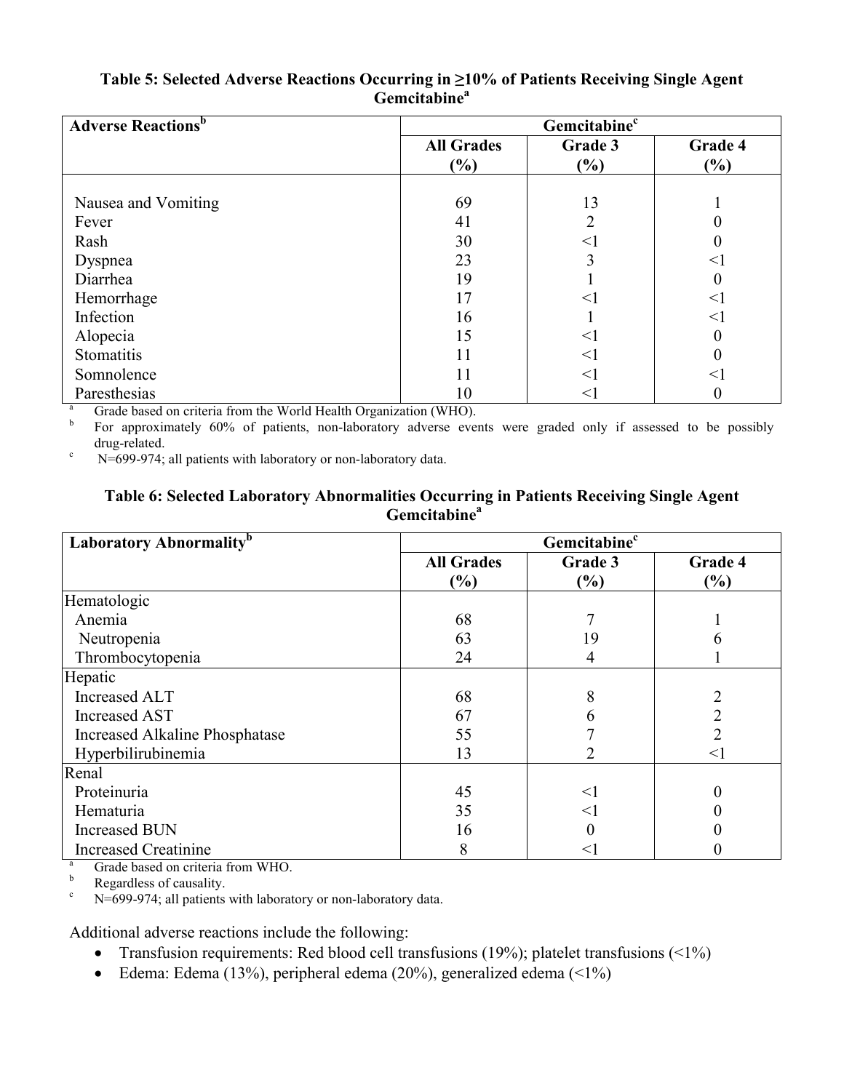| <b>Adverse Reactions</b> <sup>b</sup> | Gemcitabine <sup>c</sup> |                |                |  |  |  |  |
|---------------------------------------|--------------------------|----------------|----------------|--|--|--|--|
|                                       | <b>All Grades</b><br>(%) | Grade 3<br>(%) | Grade 4<br>(%) |  |  |  |  |
|                                       | 69                       | 13             |                |  |  |  |  |
| Nausea and Vomiting<br>Fever          | 41                       | 2              |                |  |  |  |  |
| Rash                                  | 30                       | $<$ 1          |                |  |  |  |  |
| Dyspnea                               | 23                       | 3              | $<\!\!1$       |  |  |  |  |
| Diarrhea                              | 19                       |                |                |  |  |  |  |
| Hemorrhage                            | 17                       | $<$ 1          | $<$ l          |  |  |  |  |
| Infection                             | 16                       |                | $<\!1$         |  |  |  |  |
| Alopecia                              | 15                       | $<$ 1          |                |  |  |  |  |
| Stomatitis                            | 11                       | $<$ 1          |                |  |  |  |  |
| Somnolence                            | 11                       | $<$ 1          | $<\!1$         |  |  |  |  |
| Paresthesias                          | 10                       | <1             |                |  |  |  |  |

#### **Table 5: Selected Adverse Reactions Occurring in ≥10% of Patients Receiving Single Agent Gemcitabine<sup>a</sup>**

Grade based on criteria from the World Health Organization (WHO).

b For approximately 60% of patients, non-laboratory adverse events were graded only if assessed to be possibly drug-related.

 $N=699-974$ ; all patients with laboratory or non-laboratory data.

#### **Table 6: Selected Laboratory Abnormalities Occurring in Patients Receiving Single Agent Gemcitabine<sup>a</sup>**

| Laboratory Abnormality <sup>b</sup> | Gemcitabine <sup>c</sup> |         |                |  |  |
|-------------------------------------|--------------------------|---------|----------------|--|--|
|                                     | <b>All Grades</b>        | Grade 3 | Grade 4        |  |  |
|                                     | $(\%)$                   | (%)     | (%)            |  |  |
| Hematologic                         |                          |         |                |  |  |
| Anemia                              | 68                       |         |                |  |  |
| Neutropenia                         | 63                       | 19      |                |  |  |
| Thrombocytopenia                    | 24                       | 4       |                |  |  |
| Hepatic                             |                          |         |                |  |  |
| Increased ALT                       | 68                       | 8       |                |  |  |
| <b>Increased AST</b>                | 67                       | 6       | $\overline{2}$ |  |  |
| Increased Alkaline Phosphatase      | 55                       |         | $\overline{2}$ |  |  |
| Hyperbilirubinemia                  | 13                       |         | $<$ $\!1$      |  |  |
| Renal                               |                          |         |                |  |  |
| Proteinuria                         | 45                       | $<$ 1   | 0              |  |  |
| Hematuria                           | 35                       | $<$ 1   |                |  |  |
| <b>Increased BUN</b>                | 16                       |         |                |  |  |
| <b>Increased Creatinine</b>         | 8                        | <       |                |  |  |

 $\frac{a}{b}$  Grade based on criteria from WHO.

b Regardless of causality.<br> $N = 690.974$ : all patients

N=699-974; all patients with laboratory or non-laboratory data.

Additional adverse reactions include the following:

- Transfusion requirements: Red blood cell transfusions (19%); platelet transfusions ( $\leq 1\%$ )
- Edema: Edema (13%), peripheral edema (20%), generalized edema ( $\leq$ 1%)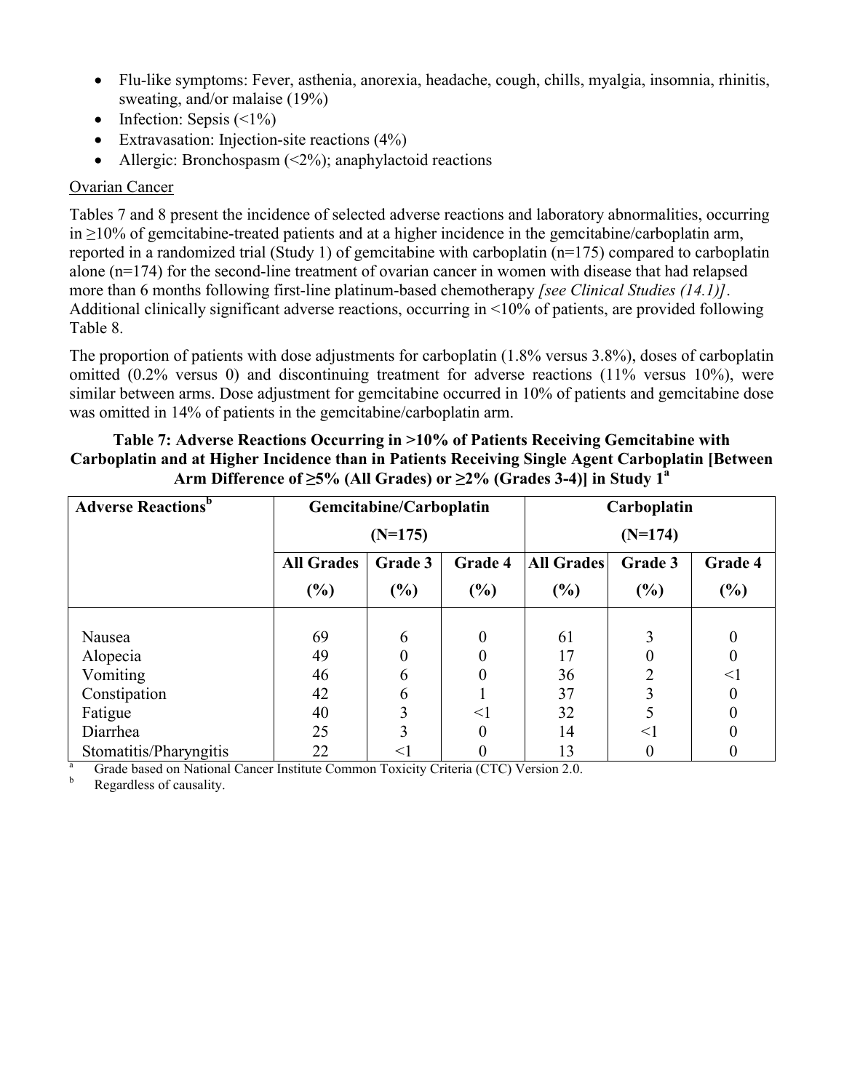- Flu-like symptoms: Fever, asthenia, anorexia, headache, cough, chills, myalgia, insomnia, rhinitis, sweating, and/or malaise (19%)
- Infection: Sepsis  $(\leq 1\%)$
- Extravasation: Injection-site reactions (4%)
- Allergic: Bronchospasm  $(\leq 2\%)$ ; anaphylactoid reactions

## Ovarian Cancer

Tables 7 and 8 present the incidence of selected adverse reactions and laboratory abnormalities, occurring in  $\geq$ 10% of gemcitabine-treated patients and at a higher incidence in the gemcitabine/carboplatin arm, reported in a randomized trial (Study 1) of gemcitabine with carboplatin (n=175) compared to carboplatin alone (n=174) for the second-line treatment of ovarian cancer in women with disease that had relapsed more than 6 months following first-line platinum-based chemotherapy *[see Clinical Studies (14.1)]*. Additional clinically significant adverse reactions, occurring in <10% of patients, are provided following Table 8.

The proportion of patients with dose adjustments for carboplatin (1.8% versus 3.8%), doses of carboplatin omitted (0.2% versus 0) and discontinuing treatment for adverse reactions (11% versus 10%), were similar between arms. Dose adjustment for gemcitabine occurred in 10% of patients and gemcitabine dose was omitted in 14% of patients in the gemcitabine/carboplatin arm.

### **Table 7: Adverse Reactions Occurring in >10% of Patients Receiving Gemcitabine with Carboplatin and at Higher Incidence than in Patients Receiving Single Agent Carboplatin [Between Arm Difference of ≥5% (All Grades) or ≥2% (Grades 3-4)] in Study 1<sup>a</sup>**

| <b>Adverse Reactions</b> <sup>b</sup> | Gemcitabine/Carboplatin                 |           |          | Carboplatin       |         |         |  |
|---------------------------------------|-----------------------------------------|-----------|----------|-------------------|---------|---------|--|
|                                       |                                         | $(N=175)$ |          | $(N=174)$         |         |         |  |
|                                       | <b>All Grades</b><br>Grade 4<br>Grade 3 |           |          | <b>All Grades</b> | Grade 3 | Grade 4 |  |
|                                       | $\left( \frac{0}{0} \right)$            | $(\%)$    | (%)      | $(\%)$            | $(\%)$  | (%)     |  |
|                                       |                                         |           |          |                   |         |         |  |
| Nausea                                | 69                                      | 6         | $\theta$ | 61                | 3       |         |  |
| Alopecia                              | 49                                      |           |          | 17                |         |         |  |
| Vomiting                              | 46                                      | 6         |          | 36                |         | <       |  |
| Constipation                          | 42                                      | 6         |          | 37                |         |         |  |
| Fatigue                               | 40                                      | 3         | $\leq$ 1 | 32                |         |         |  |
| Diarrhea                              | 25                                      | 3         |          | 14                | $<$ 1   |         |  |
| Stomatitis/Pharyngitis                | 22                                      | $<$ l     |          | 13                |         |         |  |

<sup>a</sup> Grade based on National Cancer Institute Common Toxicity Criteria (CTC) Version 2.0.<br>Peopreless of causality

Regardless of causality.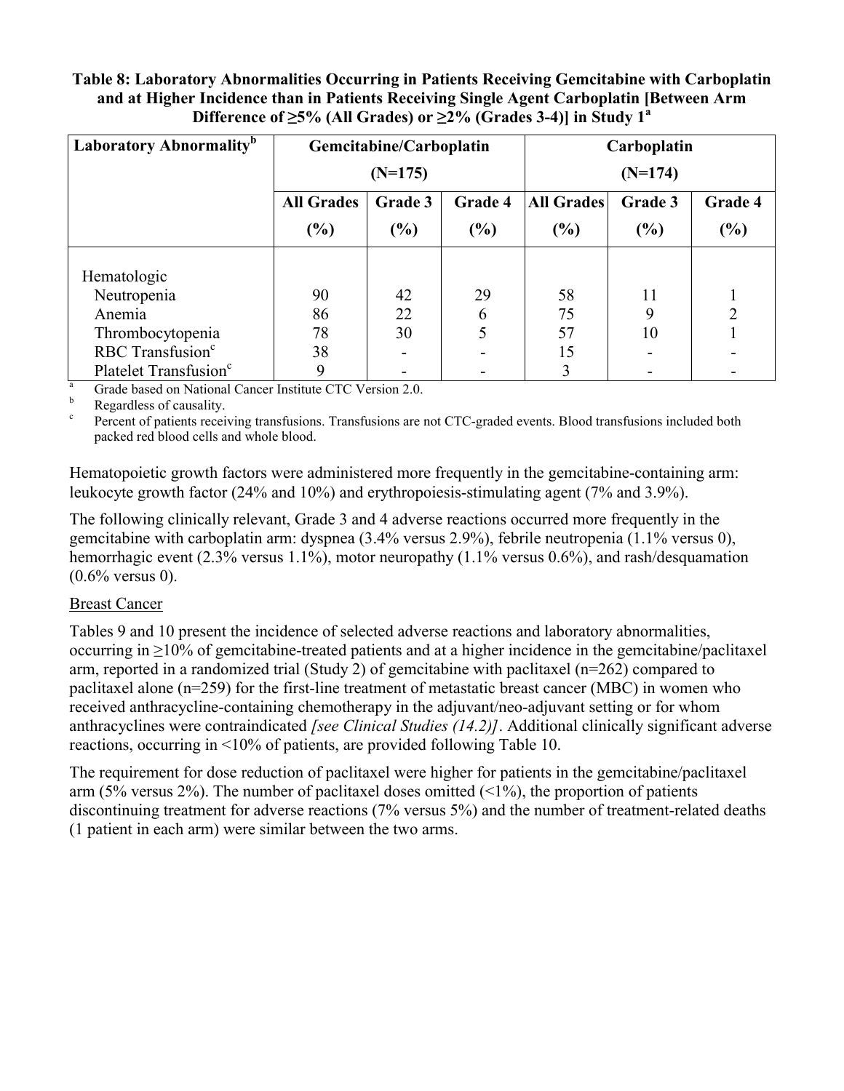### **Table 8: Laboratory Abnormalities Occurring in Patients Receiving Gemcitabine with Carboplatin and at Higher Incidence than in Patients Receiving Single Agent Carboplatin [Between Arm**  Difference of  $\geq$ 5% (All Grades) or  $\geq$ 2% (Grades 3-4)] in Study 1<sup>a</sup>

| Laboratory Abnormality <sup>b</sup> | Gemcitabine/Carboplatin                 |           |     | Carboplatin       |         |                |
|-------------------------------------|-----------------------------------------|-----------|-----|-------------------|---------|----------------|
|                                     |                                         | $(N=175)$ |     | $(N=174)$         |         |                |
|                                     | <b>All Grades</b><br>Grade 4<br>Grade 3 |           |     | <b>All Grades</b> | Grade 3 | Grade 4        |
|                                     | $\frac{6}{6}$<br>$(\%)$<br>$(\%)$       |           | (%) | $(\%)$            | (%)     |                |
|                                     |                                         |           |     |                   |         |                |
| Hematologic                         |                                         |           |     |                   |         |                |
| Neutropenia                         | 90                                      | 42        | 29  | 58                | 11      |                |
| Anemia                              | 86                                      | 22        | 6   | 75                | q       | $\overline{2}$ |
| Thrombocytopenia                    | 78                                      | 30        |     | 57                | 10      |                |
| RBC Transfusion <sup>c</sup>        | 38                                      |           |     | 15                |         |                |
| Platelet Transfusion <sup>c</sup>   | 9                                       |           |     | 3                 |         |                |

 $\frac{a}{a}$  Grade based on National Cancer Institute CTC Version 2.0.

Regardless of causality.

c Percent of patients receiving transfusions. Transfusions are not CTC-graded events. Blood transfusions included both packed red blood cells and whole blood.

Hematopoietic growth factors were administered more frequently in the gemcitabine-containing arm: leukocyte growth factor (24% and 10%) and erythropoiesis-stimulating agent (7% and 3.9%).

The following clinically relevant, Grade 3 and 4 adverse reactions occurred more frequently in the gemcitabine with carboplatin arm: dyspnea (3.4% versus 2.9%), febrile neutropenia (1.1% versus 0), hemorrhagic event (2.3% versus 1.1%), motor neuropathy (1.1% versus 0.6%), and rash/desquamation (0.6% versus 0).

### **Breast Cancer**

Tables 9 and 10 present the incidence of selected adverse reactions and laboratory abnormalities, occurring in ≥10% of gemcitabine-treated patients and at a higher incidence in the gemcitabine/paclitaxel arm, reported in a randomized trial (Study 2) of gemcitabine with paclitaxel (n=262) compared to paclitaxel alone (n=259) for the first-line treatment of metastatic breast cancer (MBC) in women who received anthracycline-containing chemotherapy in the adjuvant/neo-adjuvant setting or for whom anthracyclines were contraindicated *[see Clinical Studies (14.2)]*. Additional clinically significant adverse reactions, occurring in <10% of patients, are provided following Table 10.

The requirement for dose reduction of paclitaxel were higher for patients in the gemcitabine/paclitaxel arm (5% versus 2%). The number of paclitaxel doses omitted  $(1\%)$ , the proportion of patients discontinuing treatment for adverse reactions (7% versus 5%) and the number of treatment-related deaths (1 patient in each arm) were similar between the two arms.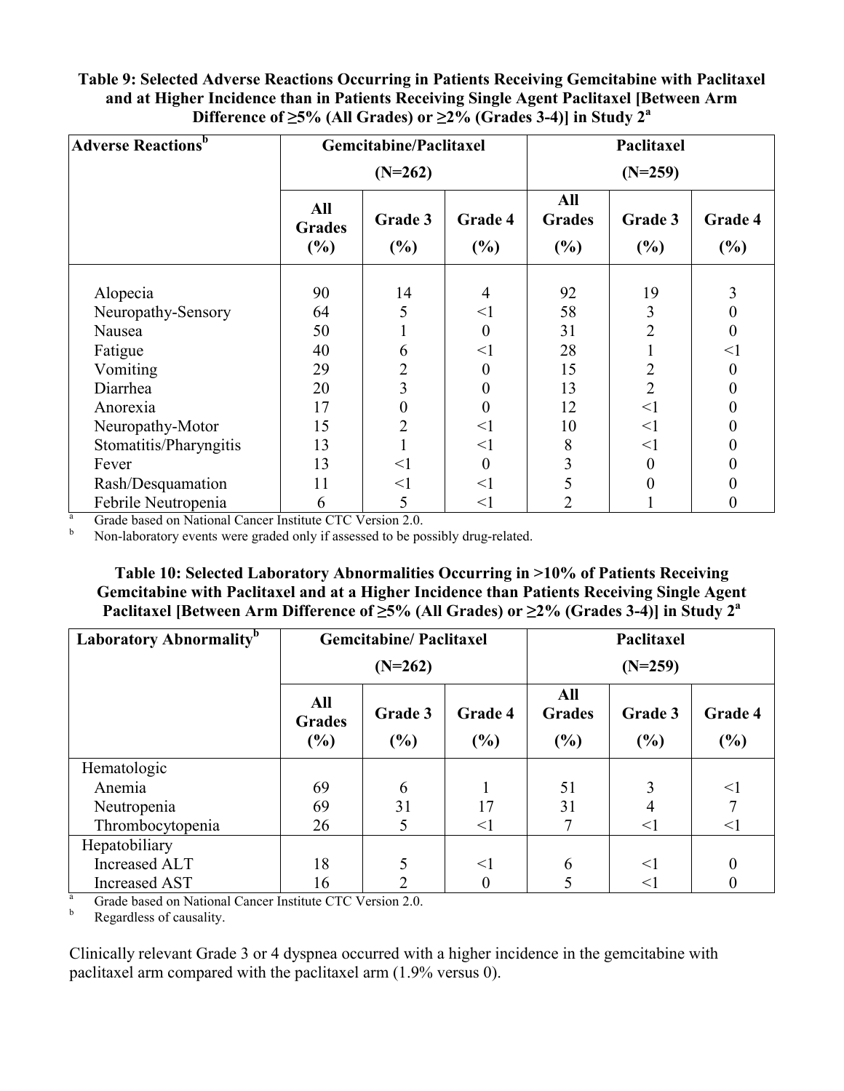### **Table 9: Selected Adverse Reactions Occurring in Patients Receiving Gemcitabine with Paclitaxel and at Higher Incidence than in Patients Receiving Single Agent Paclitaxel [Between Arm Difference of**  $\geq$ **5% (All Grades) or**  $\geq$ **2% (Grades 3-4)] in Study 2<sup>a</sup>**

| <b>Adverse Reactions</b> <sup>b</sup> | <b>Gemcitabine/Paclitaxel</b> |                |                | Paclitaxel                  |                |                   |  |
|---------------------------------------|-------------------------------|----------------|----------------|-----------------------------|----------------|-------------------|--|
|                                       | $(N=262)$                     |                |                | $(N=259)$                   |                |                   |  |
|                                       | All<br><b>Grades</b><br>(%)   | Grade 3<br>(%) | Grade 4<br>(%) | All<br><b>Grades</b><br>(%) | Grade 3<br>(%) | Grade 4<br>$(\%)$ |  |
| Alopecia                              | 90                            | 14             | $\overline{4}$ | 92                          | 19             | 3                 |  |
| Neuropathy-Sensory                    | 64                            | 5              | $<$ l          | 58                          | 3              | 0                 |  |
| Nausea                                | 50                            |                | 0              | 31                          |                | 0                 |  |
| Fatigue                               | 40                            | 6              | $<$ l          | 28                          |                | $<$ l             |  |
| Vomiting                              | 29                            |                | 0              | 15                          |                | 0                 |  |
| Diarrhea                              | 20                            | 3              | 0              | 13                          | $\overline{2}$ | 0                 |  |
| Anorexia                              | 17                            |                | 0              | 12                          | $\leq$ 1       | 0                 |  |
| Neuropathy-Motor                      | 15                            |                | $\leq$ 1       | 10                          | <1             | 0                 |  |
| Stomatitis/Pharyngitis                | 13                            |                | $<$ l          | 8                           | $\leq$ 1       | 0                 |  |
| Fever                                 | 13                            | $\leq$ 1       | $\overline{0}$ | 3                           | 0              | 0                 |  |
| Rash/Desquamation                     | 11                            | $<$ 1          | $\leq$ 1       | 5                           |                |                   |  |
| Febrile Neutropenia                   | 6                             | 5              | $<$ l          | 2                           |                | 0                 |  |

 $\frac{a}{b}$  Grade based on National Cancer Institute CTC Version 2.0.

<sup>b</sup> Non-laboratory events were graded only if assessed to be possibly drug-related.

**Table 10: Selected Laboratory Abnormalities Occurring in >10% of Patients Receiving Gemcitabine with Paclitaxel and at a Higher Incidence than Patients Receiving Single Agent Paclitaxel [Between Arm Difference of ≥5% (All Grades) or ≥2% (Grades 3-4)] in Study 2<sup>a</sup>**

| Laboratory Abnormality <sup>b</sup> | <b>Gemcitabine/Paclitaxel</b>                                      |    |                             | Paclitaxel     |                |                |
|-------------------------------------|--------------------------------------------------------------------|----|-----------------------------|----------------|----------------|----------------|
|                                     | $(N=262)$                                                          |    |                             | $(N=259)$      |                |                |
|                                     | All<br>Grade 3<br>Grade 4<br><b>Grades</b><br>(%)<br>(%)<br>$(\%)$ |    | All<br><b>Grades</b><br>(%) | Grade 3<br>(%) | Grade 4<br>(%) |                |
| Hematologic                         |                                                                    |    |                             |                |                |                |
| Anemia                              | 69                                                                 | 6  |                             | 51             |                | $<$ 1          |
| Neutropenia                         | 69                                                                 | 31 | 17                          | 31             |                |                |
| Thrombocytopenia                    | 26                                                                 |    | $<$ l                       |                | $<$ 1          | $<$ l          |
| Hepatobiliary                       |                                                                    |    |                             |                |                |                |
| Increased ALT                       | 18                                                                 |    | $<$ 1                       | 6              | $\leq$ 1       | $\overline{0}$ |
| Increased AST                       | 16                                                                 |    | 0                           |                | $<$ 1          |                |

 $\frac{a}{b}$  Grade based on National Cancer Institute CTC Version 2.0.

Regardless of causality.

Clinically relevant Grade 3 or 4 dyspnea occurred with a higher incidence in the gemcitabine with paclitaxel arm compared with the paclitaxel arm (1.9% versus 0).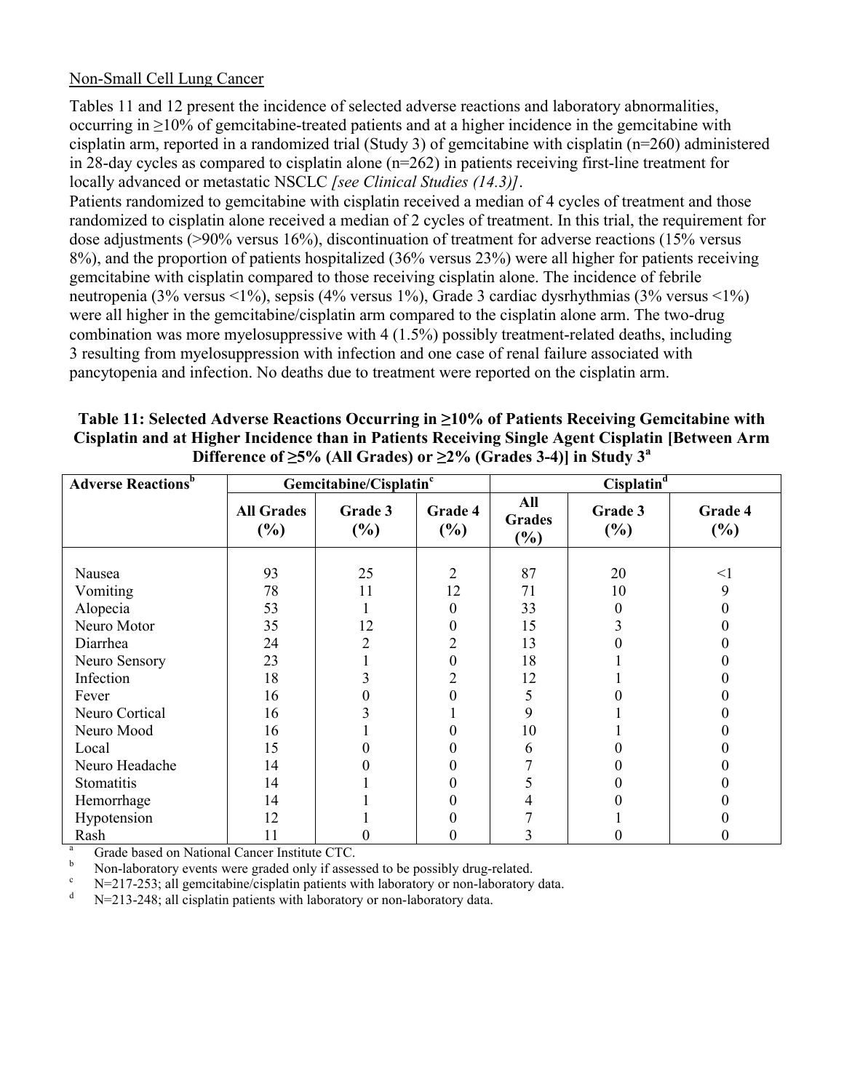### Non-Small Cell Lung Cancer

Tables 11 and 12 present the incidence of selected adverse reactions and laboratory abnormalities, occurring in ≥10% of gemcitabine-treated patients and at a higher incidence in the gemcitabine with cisplatin arm, reported in a randomized trial (Study 3) of gemcitabine with cisplatin (n=260) administered in 28-day cycles as compared to cisplatin alone (n=262) in patients receiving first-line treatment for locally advanced or metastatic NSCLC *[see Clinical Studies (14.3)]*.

Patients randomized to gemcitabine with cisplatin received a median of 4 cycles of treatment and those randomized to cisplatin alone received a median of 2 cycles of treatment. In this trial, the requirement for dose adjustments (>90% versus 16%), discontinuation of treatment for adverse reactions (15% versus 8%), and the proportion of patients hospitalized (36% versus 23%) were all higher for patients receiving gemcitabine with cisplatin compared to those receiving cisplatin alone. The incidence of febrile neutropenia (3% versus <1%), sepsis (4% versus 1%), Grade 3 cardiac dysrhythmias (3% versus <1%) were all higher in the gemcitabine/cisplatin arm compared to the cisplatin alone arm. The two-drug combination was more myelosuppressive with 4 (1.5%) possibly treatment-related deaths, including resulting from myelosuppression with infection and one case of renal failure associated with pancytopenia and infection. No deaths due to treatment were reported on the cisplatin arm.

| ,,                                    |                             |                                    |                |                             |                   |                |  |  |  |
|---------------------------------------|-----------------------------|------------------------------------|----------------|-----------------------------|-------------------|----------------|--|--|--|
| <b>Adverse Reactions</b> <sup>b</sup> |                             | Gemcitabine/Cisplatin <sup>c</sup> |                | Cisplatin <sup>d</sup>      |                   |                |  |  |  |
|                                       | <b>All Grades</b><br>$(\%)$ | Grade 3<br>$(\%)$                  | Grade 4<br>(%) | All<br><b>Grades</b><br>(%) | Grade 3<br>$(\%)$ | Grade 4<br>(%) |  |  |  |
| Nausea                                | 93                          | 25                                 | $\overline{2}$ | 87                          | 20                | $<$ 1          |  |  |  |
| Vomiting                              | 78                          | 11                                 | 12             | 71                          | 10                | 9              |  |  |  |
| Alopecia                              | 53                          |                                    | 0              | 33                          | $\theta$          |                |  |  |  |
| Neuro Motor                           | 35                          | 12                                 | 0              | 15                          |                   |                |  |  |  |
| Diarrhea                              | 24                          | 2                                  | $\overline{2}$ | 13                          |                   |                |  |  |  |
| Neuro Sensory                         | 23                          |                                    | 0              | 18                          |                   |                |  |  |  |
| Infection                             | 18                          |                                    | $\overline{2}$ | 12                          |                   |                |  |  |  |
| Fever                                 | 16                          |                                    |                | 5                           |                   |                |  |  |  |
| Neuro Cortical                        | 16                          |                                    |                | 9                           |                   |                |  |  |  |
| Neuro Mood                            | 16                          |                                    |                | 10                          |                   |                |  |  |  |
| Local                                 | 15                          |                                    |                | 6                           |                   |                |  |  |  |
| Neuro Headache                        | 14                          |                                    |                |                             |                   |                |  |  |  |
| Stomatitis                            | 14                          |                                    |                | 5                           |                   |                |  |  |  |
| Hemorrhage                            | 14                          |                                    |                |                             |                   |                |  |  |  |
| Hypotension                           | 12                          |                                    |                |                             |                   |                |  |  |  |
| Rash                                  | 11                          |                                    |                |                             |                   |                |  |  |  |

| Table 11: Selected Adverse Reactions Occurring in $\geq 10\%$ of Patients Receiving Gemcitabine with |
|------------------------------------------------------------------------------------------------------|
| Cisplatin and at Higher Incidence than in Patients Receiving Single Agent Cisplatin [Between Arm     |
| Difference of $\geq 5\%$ (All Grades) or $\geq 2\%$ (Grades 3-4)] in Study 3 <sup>a</sup>            |

<sup>a</sup> Grade based on National Cancer Institute CTC.<br>Non-laboratory quants were graded only if asset

b Non-laboratory events were graded only if assessed to be possibly drug-related.

 $\frac{c}{\text{N}}$  N=217-253; all gemcitabine/cisplatin patients with laboratory or non-laboratory data.

N=213-248; all cisplatin patients with laboratory or non-laboratory data.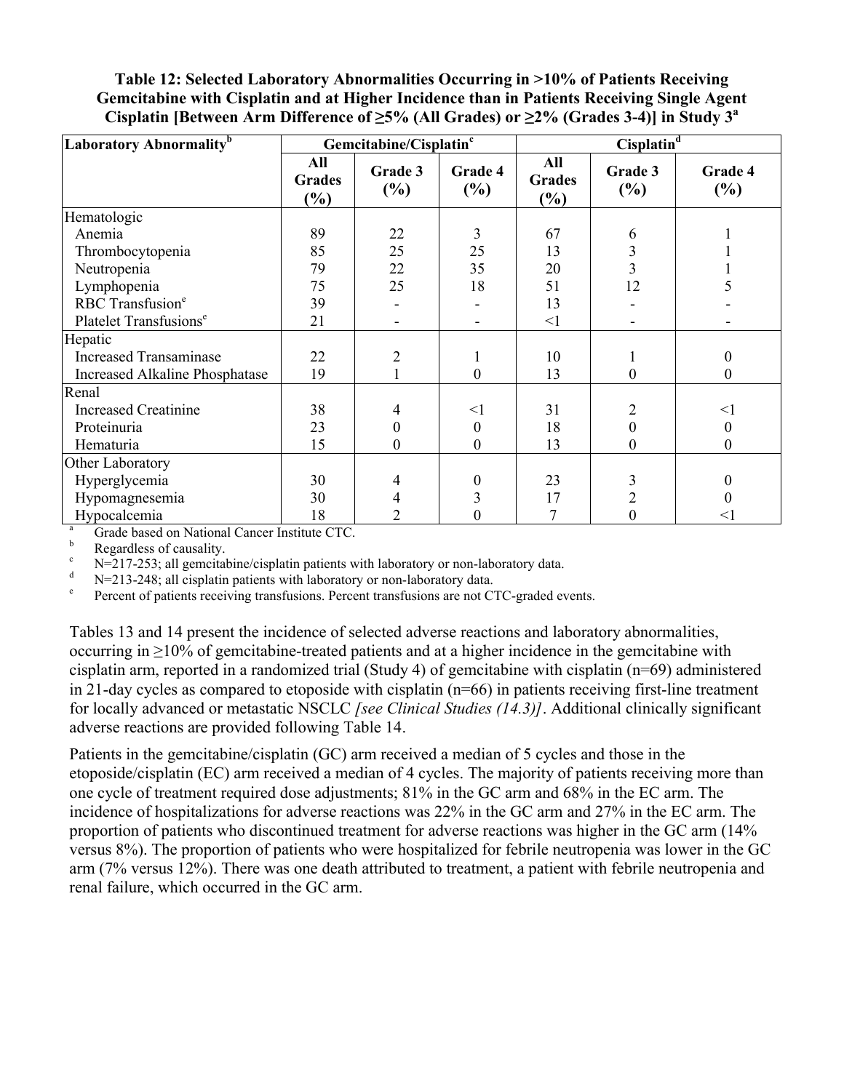**Table 12: Selected Laboratory Abnormalities Occurring in >10% of Patients Receiving Gemcitabine with Cisplatin and at Higher Incidence than in Patients Receiving Single Agent**  Cisplatin [Between Arm Difference of  $\geq$ 5% (All Grades) or  $\geq$ 2% (Grades 3-4)] in Study 3<sup>a</sup>

| Laboratory Abnormality <sup>b</sup> | $Cisplatin^d$<br>Gemcitabine/Cisplatin <sup>c</sup> |                  |                   |                                       |                |                   |
|-------------------------------------|-----------------------------------------------------|------------------|-------------------|---------------------------------------|----------------|-------------------|
|                                     | All<br><b>Grades</b><br>$(\%)$                      | Grade 3<br>(%)   | Grade 4<br>$(\%)$ | All<br><b>Grades</b><br>$\frac{6}{6}$ | Grade 3<br>(%) | Grade 4<br>$(\%)$ |
| Hematologic                         |                                                     |                  |                   |                                       |                |                   |
| Anemia                              | 89                                                  | 22               | 3                 | 67                                    | 6              |                   |
| Thrombocytopenia                    | 85                                                  | 25               | 25                | 13                                    | 3              |                   |
| Neutropenia                         | 79                                                  | 22               | 35                | 20                                    | 3              |                   |
| Lymphopenia                         | 75                                                  | 25               | 18                | 51                                    | 12             |                   |
| RBC Transfusion <sup>e</sup>        | 39                                                  |                  |                   | 13                                    |                |                   |
| Platelet Transfusions <sup>e</sup>  | 21                                                  |                  |                   | $\leq$ 1                              |                |                   |
| Hepatic                             |                                                     |                  |                   |                                       |                |                   |
| <b>Increased Transaminase</b>       | 22                                                  | $\overline{2}$   |                   | 10                                    |                | 0                 |
| Increased Alkaline Phosphatase      | 19                                                  |                  | 0                 | 13                                    | $\theta$       | 0                 |
| Renal                               |                                                     |                  |                   |                                       |                |                   |
| <b>Increased Creatinine</b>         | 38                                                  | 4                | $\leq$ 1          | 31                                    | $\mathfrak{D}$ | $\leq$ 1          |
| Proteinuria                         | 23                                                  | $\theta$         | 0                 | 18                                    | 0              | 0                 |
| Hematuria                           | 15                                                  | $\boldsymbol{0}$ | $\boldsymbol{0}$  | 13                                    | $\theta$       | $\boldsymbol{0}$  |
| Other Laboratory                    |                                                     |                  |                   |                                       |                |                   |
| Hyperglycemia                       | 30                                                  | 4                | 0                 | 23                                    | 3              | 0                 |
| Hypomagnesemia                      | 30                                                  | 4                | 3                 | 17                                    |                | 0                 |
| Hypocalcemia                        | 18                                                  | 2                | 0                 |                                       |                | $<$ 1             |

 $\frac{a}{b}$  Grade based on National Cancer Institute CTC.

b Regardless of causality.

<sup>c</sup> N=217-253; all gemcitabine/cisplatin patients with laboratory or non-laboratory data.<br>N=213-248: all cisplatin patients with laboratory or non-laboratory data

N=213-248; all cisplatin patients with laboratory or non-laboratory data.

e Percent of patients receiving transfusions. Percent transfusions are not CTC-graded events.

Tables 13 and 14 present the incidence of selected adverse reactions and laboratory abnormalities, occurring in ≥10% of gemcitabine-treated patients and at a higher incidence in the gemcitabine with cisplatin arm, reported in a randomized trial (Study 4) of gemcitabine with cisplatin (n=69) administered in 21-day cycles as compared to etoposide with cisplatin (n=66) in patients receiving first-line treatment for locally advanced or metastatic NSCLC *[see Clinical Studies (14.3)]*. Additional clinically significant adverse reactions are provided following Table 14.

Patients in the gemcitabine/cisplatin (GC) arm received a median of 5 cycles and those in the etoposide/cisplatin (EC) arm received a median of 4 cycles. The majority of patients receiving more than one cycle of treatment required dose adjustments; 81% in the GC arm and 68% in the EC arm. The incidence of hospitalizations for adverse reactions was 22% in the GC arm and 27% in the EC arm. The proportion of patients who discontinued treatment for adverse reactions was higher in the GC arm (14% versus 8%). The proportion of patients who were hospitalized for febrile neutropenia was lower in the GC arm (7% versus 12%). There was one death attributed to treatment, a patient with febrile neutropenia and renal failure, which occurred in the GC arm.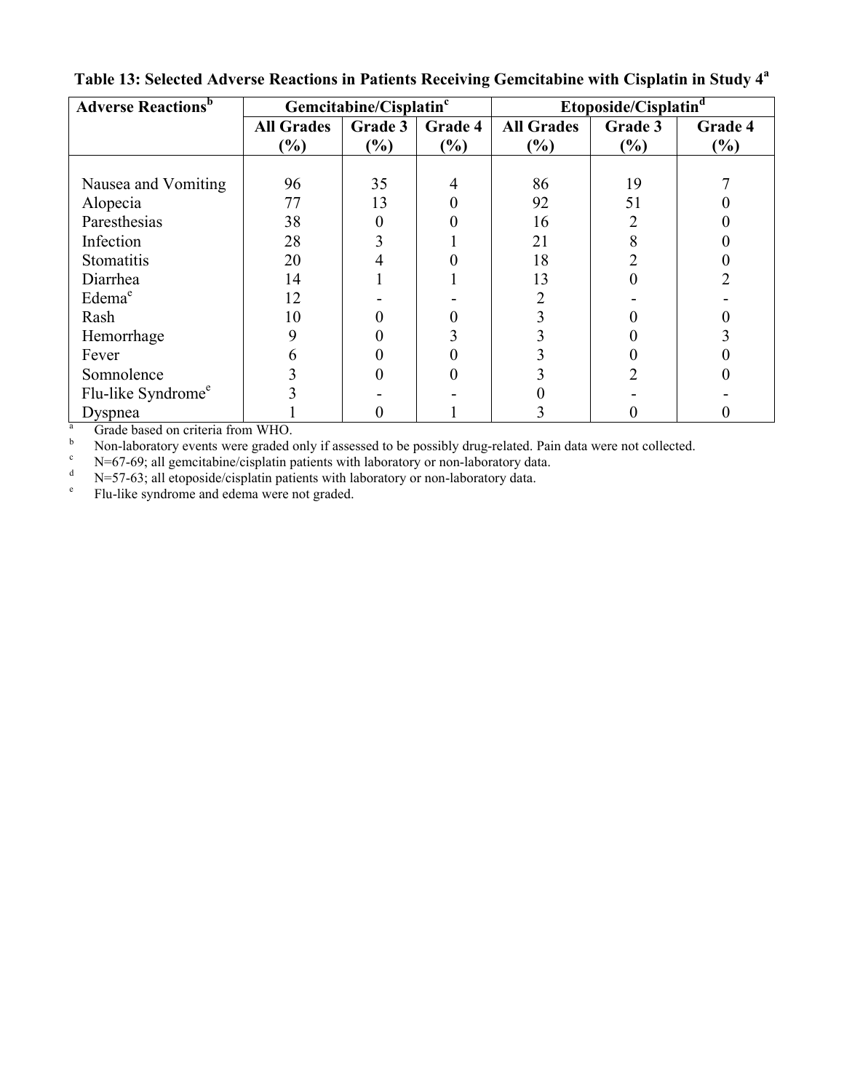| <b>Adverse Reactions</b> <sup>b</sup> | Gemcitabine/Cisplatin <sup>c</sup> |         |         | Etoposide/Cisplatin <sup>d</sup> |               |               |
|---------------------------------------|------------------------------------|---------|---------|----------------------------------|---------------|---------------|
|                                       | <b>All Grades</b>                  | Grade 3 | Grade 4 | <b>All Grades</b>                | Grade 3       | Grade 4       |
|                                       | $\left(\frac{0}{0}\right)$         | $(\%)$  | (%)     | $\left( \frac{0}{0} \right)$     | $\frac{6}{6}$ | $\frac{6}{6}$ |
|                                       |                                    |         |         |                                  |               |               |
| Nausea and Vomiting                   | 96                                 | 35      | 4       | 86                               | 19            |               |
| Alopecia                              | 77                                 | 13      |         | 92                               | 51            |               |
| Paresthesias                          | 38                                 | 0       |         | 16                               |               |               |
| Infection                             | 28                                 |         |         | 21                               |               |               |
| Stomatitis                            | 20                                 |         |         | 18                               |               |               |
| Diarrhea                              | 14                                 |         |         | 13                               |               |               |
| Edema <sup>e</sup>                    | 12                                 |         |         |                                  |               |               |
| Rash                                  | 10                                 |         |         |                                  |               |               |
| Hemorrhage                            |                                    |         |         |                                  |               |               |
| Fever                                 |                                    |         |         |                                  |               |               |
| Somnolence                            |                                    |         |         |                                  |               |               |
| Flu-like Syndrome <sup>e</sup>        |                                    |         |         |                                  |               |               |
| Dyspnea                               |                                    |         |         |                                  |               |               |

**Table 13: Selected Adverse Reactions in Patients Receiving Gemcitabine with Cisplatin in Study 4<sup>a</sup>**

 $\frac{a}{b}$  Grade based on criteria from WHO.

b Non-laboratory events were graded only if assessed to be possibly drug-related. Pain data were not collected.<br>N=67.60: all gemeitabine/cisplatin patients with laboratory or non-laboratory data

<sup>c</sup> N=67-69; all gemcitabine/cisplatin patients with laboratory or non-laboratory data.<br>N=57-63; all etonoside/cisplatin patients with laboratory or non-laboratory data

N=57-63; all etoposide/cisplatin patients with laboratory or non-laboratory data.

e Flu-like syndrome and edema were not graded.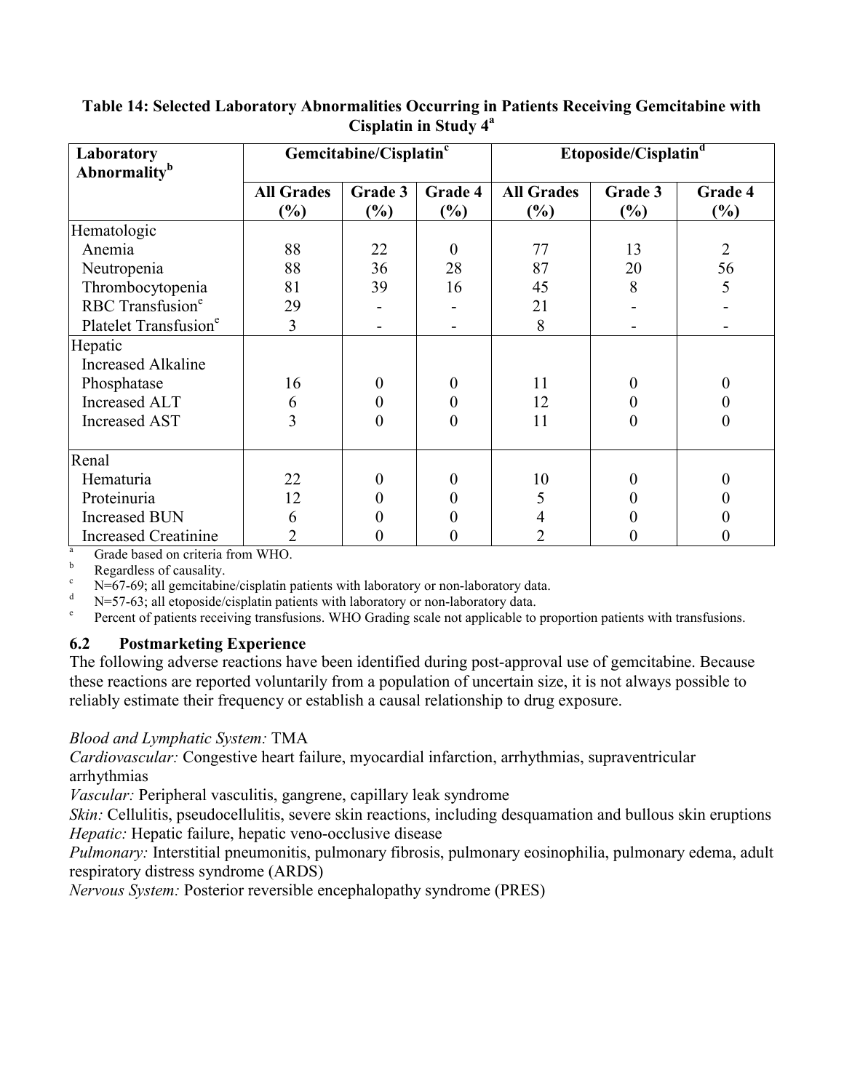| Laboratory<br><b>Abnormality</b> <sup>b</sup> | Gemcitabine/Cisplatin <sup>c</sup>                |                | Etoposide/Cisplatin <sup>d</sup> |                             |                          |                   |
|-----------------------------------------------|---------------------------------------------------|----------------|----------------------------------|-----------------------------|--------------------------|-------------------|
|                                               | <b>All Grades</b><br>$\left( \frac{0}{0} \right)$ | Grade 3<br>(%) | Grade 4<br>$(\%)$                | <b>All Grades</b><br>$(\%)$ | Grade 3<br>$\frac{6}{6}$ | Grade 4<br>$(\%)$ |
| Hematologic                                   |                                                   |                |                                  |                             |                          |                   |
| Anemia                                        | 88                                                | 22             | $\theta$                         | 77                          | 13                       | $\overline{2}$    |
| Neutropenia                                   | 88                                                | 36             | 28                               | 87                          | 20                       | 56                |
| Thrombocytopenia                              | 81                                                | 39             | 16                               | 45                          | 8                        | 5                 |
| RBC Transfusion <sup>e</sup>                  | 29                                                |                |                                  | 21                          |                          |                   |
| Platelet Transfusion <sup>e</sup>             | 3                                                 |                |                                  | 8                           |                          |                   |
| Hepatic                                       |                                                   |                |                                  |                             |                          |                   |
| <b>Increased Alkaline</b>                     |                                                   |                |                                  |                             |                          |                   |
| Phosphatase                                   | 16                                                | $\Omega$       | 0                                | 11                          |                          |                   |
| <b>Increased ALT</b>                          | 6                                                 |                | 0                                | 12                          |                          |                   |
| <b>Increased AST</b>                          | 3                                                 | $\Omega$       | $\theta$                         | 11                          | 0                        | 0                 |
| Renal                                         |                                                   |                |                                  |                             |                          |                   |
| Hematuria                                     | 22                                                | 0              | $\theta$                         | 10                          | 0                        |                   |
| Proteinuria                                   | 12                                                |                | 0                                | 5                           |                          |                   |
| <b>Increased BUN</b>                          | 6                                                 |                |                                  | 4                           |                          |                   |
| <b>Increased Creatinine</b>                   | 2                                                 |                |                                  |                             |                          |                   |

### **Table 14: Selected Laboratory Abnormalities Occurring in Patients Receiving Gemcitabine with Cisplatin in Study 4 a**

 $\frac{a}{b}$  Grade based on criteria from WHO.

b Regardless of causality.

 $\epsilon$  N=67-69; all gemeitabine/cisplatin patients with laboratory or non-laboratory data.

N=57-63; all etoposide/cisplatin patients with laboratory or non-laboratory data.

e Percent of patients receiving transfusions. WHO Grading scale not applicable to proportion patients with transfusions.

## **6.2 Postmarketing Experience**

The following adverse reactions have been identified during post-approval use of gemcitabine. Because these reactions are reported voluntarily from a population of uncertain size, it is not always possible to reliably estimate their frequency or establish a causal relationship to drug exposure.

## *Blood and Lymphatic System:* TMA

*Cardiovascular:* Congestive heart failure, myocardial infarction, arrhythmias, supraventricular arrhythmias

*Vascular:* Peripheral vasculitis, gangrene, capillary leak syndrome

*Skin:* Cellulitis, pseudocellulitis, severe skin reactions, including desquamation and bullous skin eruptions *Hepatic:* Hepatic failure, hepatic veno-occlusive disease

*Pulmonary:* Interstitial pneumonitis, pulmonary fibrosis, pulmonary eosinophilia, pulmonary edema, adult respiratory distress syndrome (ARDS)

*Nervous System:* Posterior reversible encephalopathy syndrome (PRES)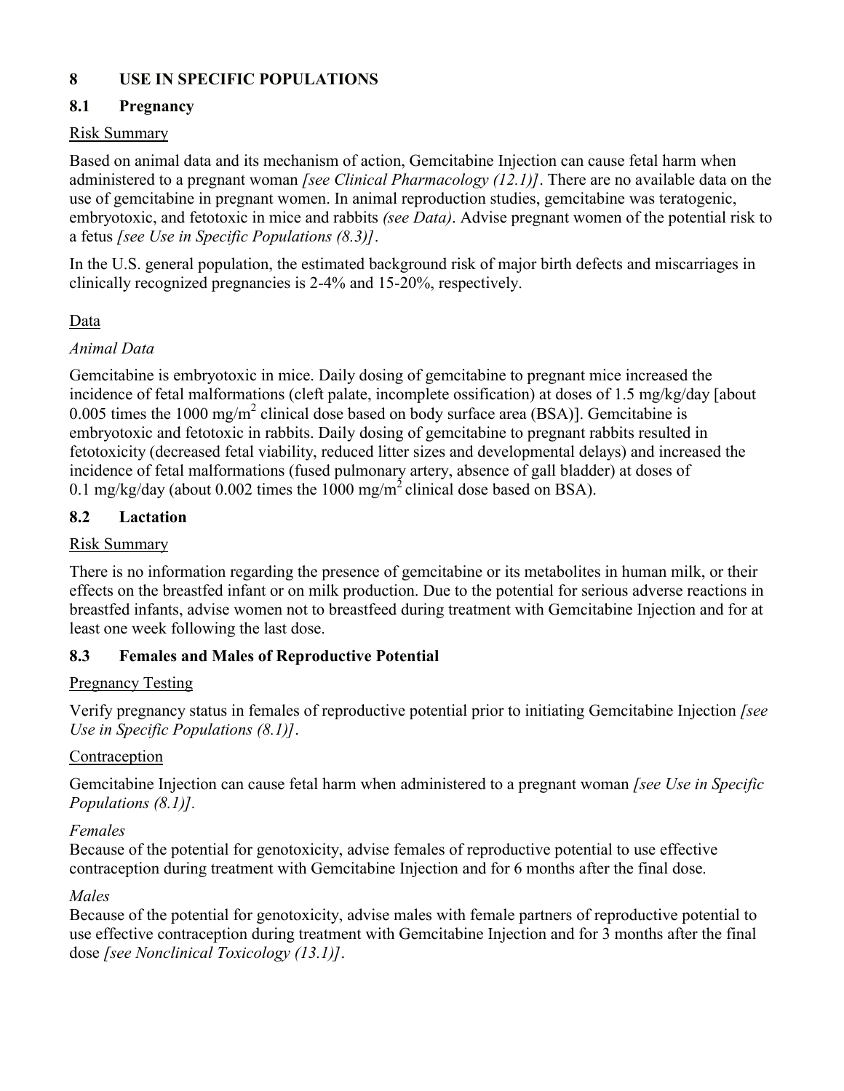## **8 USE IN SPECIFIC POPULATIONS**

## **8.1 Pregnancy**

## Risk Summary

Based on animal data and its mechanism of action, Gemcitabine Injection can cause fetal harm when administered to a pregnant woman *[see Clinical Pharmacology (12.1)]*. There are no available data on the use of gemcitabine in pregnant women. In animal reproduction studies, gemcitabine was teratogenic, embryotoxic, and fetotoxic in mice and rabbits *(see Data)*. Advise pregnant women of the potential risk to a fetus *[see Use in Specific Populations (8.3)]*.

In the U.S. general population, the estimated background risk of major birth defects and miscarriages in clinically recognized pregnancies is 2-4% and 15-20%, respectively.

## **Data**

## *Animal Data*

Gemcitabine is embryotoxic in mice. Daily dosing of gemcitabine to pregnant mice increased the incidence of fetal malformations (cleft palate, incomplete ossification) at doses of 1.5 mg/kg/day [about 0.005 times the 1000 mg/m<sup>2</sup> clinical dose based on body surface area (BSA)]. Gemcitabine is embryotoxic and fetotoxic in rabbits. Daily dosing of gemcitabine to pregnant rabbits resulted in fetotoxicity (decreased fetal viability, reduced litter sizes and developmental delays) and increased the incidence of fetal malformations (fused pulmonary artery, absence of gall bladder) at doses of 0.1 mg/kg/day (about 0.002 times the 1000 mg/m<sup>2</sup> clinical dose based on BSA).

## **8.2 Lactation**

### Risk Summary

There is no information regarding the presence of gemcitabine or its metabolites in human milk, or their effects on the breastfed infant or on milk production. Due to the potential for serious adverse reactions in breastfed infants, advise women not to breastfeed during treatment with Gemcitabine Injection and for at least one week following the last dose.

## **8.3 Females and Males of Reproductive Potential**

### Pregnancy Testing

Verify pregnancy status in females of reproductive potential prior to initiating Gemcitabine Injection *[see Use in Specific Populations (8.1)]*.

## **Contraception**

Gemcitabine Injection can cause fetal harm when administered to a pregnant woman *[see Use in Specific Populations (8.1)].*

## *Females*

Because of the potential for genotoxicity, advise females of reproductive potential to use effective contraception during treatment with Gemcitabine Injection and for 6 months after the final dose.

### *Males*

Because of the potential for genotoxicity, advise males with female partners of reproductive potential to use effective contraception during treatment with Gemcitabine Injection and for 3 months after the final dose *[see Nonclinical Toxicology (13.1)]*.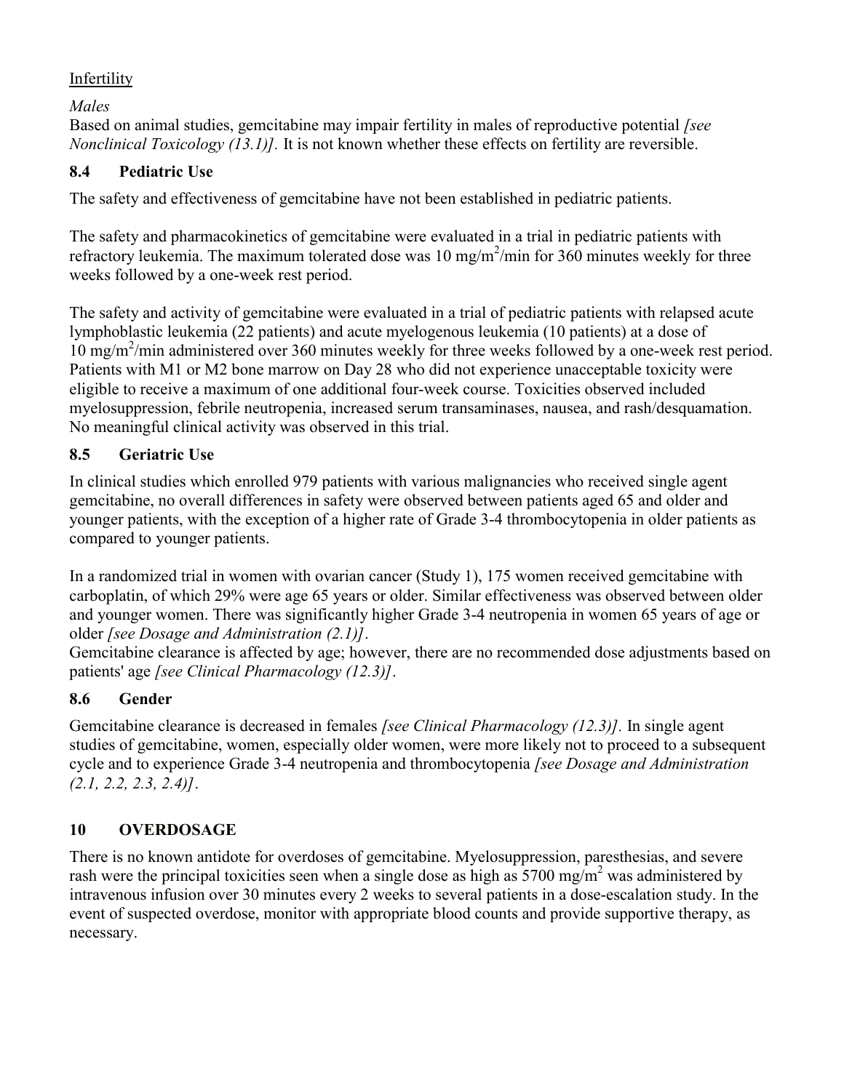## Infertility

*Males* 

Based on animal studies, gemcitabine may impair fertility in males of reproductive potential *[see Nonclinical Toxicology (13.1)].* It is not known whether these effects on fertility are reversible.

## **8.4 Pediatric Use**

The safety and effectiveness of gemcitabine have not been established in pediatric patients.

The safety and pharmacokinetics of gemcitabine were evaluated in a trial in pediatric patients with refractory leukemia. The maximum tolerated dose was  $10 \text{ mg/m}^2/\text{min}$  for  $360 \text{ minutes}$  weekly for three weeks followed by a one-week rest period.

The safety and activity of gemcitabine were evaluated in a trial of pediatric patients with relapsed acute lymphoblastic leukemia (22 patients) and acute myelogenous leukemia (10 patients) at a dose of 10 mg/m<sup>2</sup> /min administered over 360 minutes weekly for three weeks followed by a one-week rest period. Patients with M1 or M2 bone marrow on Day 28 who did not experience unacceptable toxicity were eligible to receive a maximum of one additional four-week course. Toxicities observed included myelosuppression, febrile neutropenia, increased serum transaminases, nausea, and rash/desquamation. No meaningful clinical activity was observed in this trial.

## **8.5 Geriatric Use**

In clinical studies which enrolled 979 patients with various malignancies who received single agent gemcitabine, no overall differences in safety were observed between patients aged 65 and older and younger patients, with the exception of a higher rate of Grade 3-4 thrombocytopenia in older patients as compared to younger patients.

In a randomized trial in women with ovarian cancer (Study 1), 175 women received gemcitabine with carboplatin, of which 29% were age 65 years or older. Similar effectiveness was observed between older and younger women. There was significantly higher Grade 3-4 neutropenia in women 65 years of age or older *[see Dosage and Administration (2.1)]*.

Gemcitabine clearance is affected by age; however, there are no recommended dose adjustments based on patients' age *[see Clinical Pharmacology (12.3)]*.

## **8.6 Gender**

Gemcitabine clearance is decreased in females *[see Clinical Pharmacology (12.3)].* In single agent studies of gemcitabine, women, especially older women, were more likely not to proceed to a subsequent cycle and to experience Grade 3-4 neutropenia and thrombocytopenia *[see Dosage and Administration (2.1, 2.2, 2.3, 2.4)]*.

## **10 OVERDOSAGE**

There is no known antidote for overdoses of gemcitabine. Myelosuppression, paresthesias, and severe rash were the principal toxicities seen when a single dose as high as 5700 mg/m<sup>2</sup> was administered by intravenous infusion over 30 minutes every 2 weeks to several patients in a dose-escalation study. In the event of suspected overdose, monitor with appropriate blood counts and provide supportive therapy, as necessary.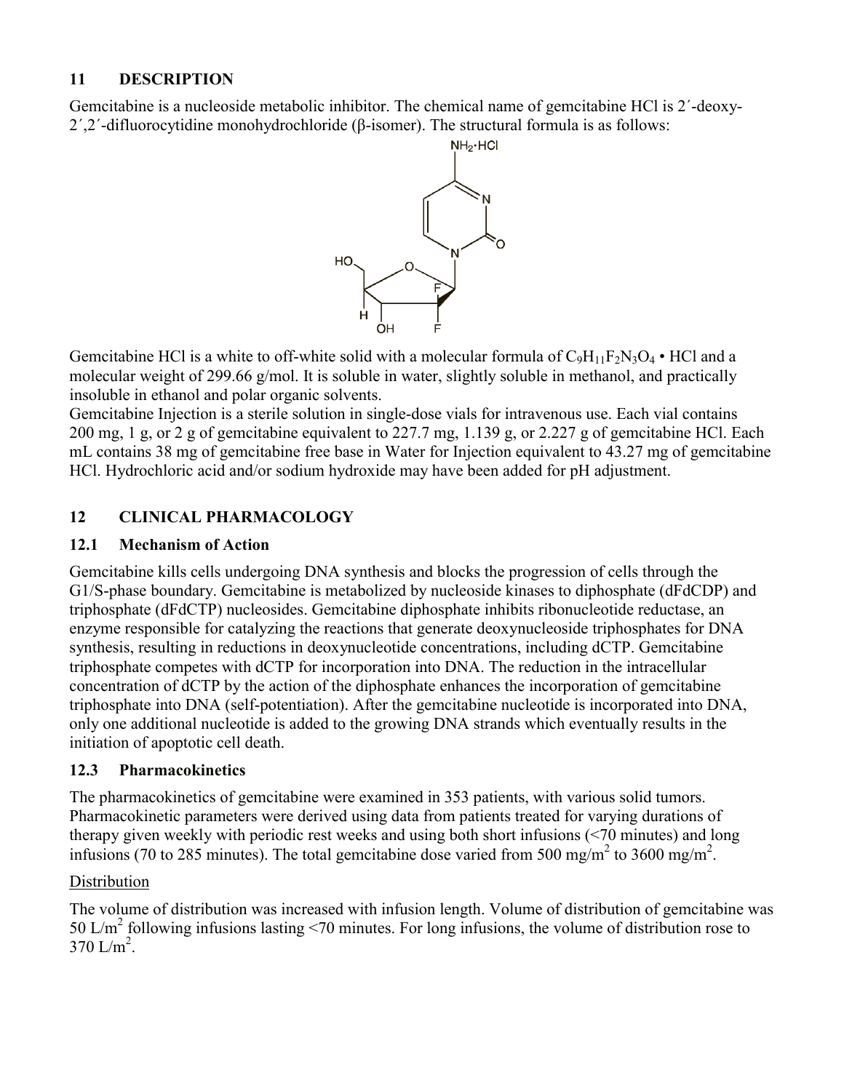## **11 DESCRIPTION**

Gemcitabine is a nucleoside metabolic inhibitor. The chemical name of gemcitabine HCl is 2´-deoxy-2´,2´-difluorocytidine monohydrochloride (β-isomer). The structural formula is as follows:



Gemcitabine HCl is a white to off-white solid with a molecular formula of  $C_9H_{11}F_2N_3O_4$  • HCl and a molecular weight of 299.66 g/mol. It is soluble in water, slightly soluble in methanol, and practically insoluble in ethanol and polar organic solvents.

Gemcitabine Injection is a sterile solution in single-dose vials for intravenous use. Each vial contains 200 mg, 1 g, or 2 g of gemcitabine equivalent to 227.7 mg, 1.139 g, or 2.227 g of gemcitabine HCl. Each mL contains 38 mg of gemcitabine free base in Water for Injection equivalent to 43.27 mg of gemcitabine HCl. Hydrochloric acid and/or sodium hydroxide may have been added for pH adjustment.

## **12 CLINICAL PHARMACOLOGY**

## **12.1 Mechanism of Action**

Gemcitabine kills cells undergoing DNA synthesis and blocks the progression of cells through the G1/S-phase boundary. Gemcitabine is metabolized by nucleoside kinases to diphosphate (dFdCDP) and triphosphate (dFdCTP) nucleosides. Gemcitabine diphosphate inhibits ribonucleotide reductase, an enzyme responsible for catalyzing the reactions that generate deoxynucleoside triphosphates for DNA synthesis, resulting in reductions in deoxynucleotide concentrations, including dCTP. Gemcitabine triphosphate competes with dCTP for incorporation into DNA. The reduction in the intracellular concentration of dCTP by the action of the diphosphate enhances the incorporation of gemcitabine triphosphate into DNA (self-potentiation). After the gemcitabine nucleotide is incorporated into DNA, only one additional nucleotide is added to the growing DNA strands which eventually results in the initiation of apoptotic cell death.

## **12.3 Pharmacokinetics**

The pharmacokinetics of gemcitabine were examined in 353 patients, with various solid tumors. Pharmacokinetic parameters were derived using data from patients treated for varying durations of therapy given weekly with periodic rest weeks and using both short infusions (<70 minutes) and long infusions (70 to 285 minutes). The total gemcitabine dose varied from 500 mg/m<sup>2</sup> to 3600 mg/m<sup>2</sup>.

## **Distribution**

The volume of distribution was increased with infusion length. Volume of distribution of gemcitabine was 50 L/m<sup>2</sup> following infusions lasting <70 minutes. For long infusions, the volume of distribution rose to  $370 \text{ L/m}^2$ .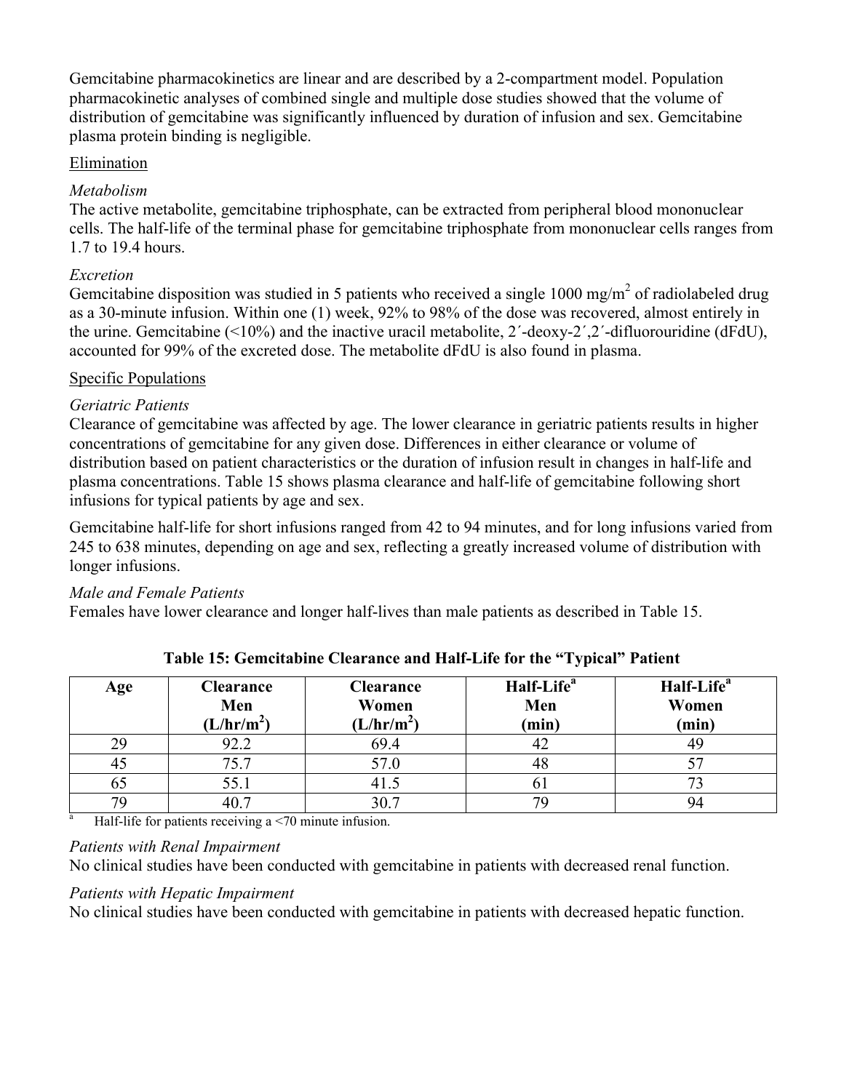Gemcitabine pharmacokinetics are linear and are described by a 2-compartment model. Population pharmacokinetic analyses of combined single and multiple dose studies showed that the volume of distribution of gemcitabine was significantly influenced by duration of infusion and sex. Gemcitabine plasma protein binding is negligible.

## Elimination

### *Metabolism*

The active metabolite, gemcitabine triphosphate, can be extracted from peripheral blood mononuclear cells. The half-life of the terminal phase for gemcitabine triphosphate from mononuclear cells ranges from 1.7 to 19.4 hours.

## *Excretion*

Gemcitabine disposition was studied in 5 patients who received a single 1000 mg/m<sup>2</sup> of radiolabeled drug as a 30-minute infusion. Within one (1) week, 92% to 98% of the dose was recovered, almost entirely in the urine. Gemcitabine (<10%) and the inactive uracil metabolite, 2´-deoxy-2´,2´-difluorouridine (dFdU), accounted for 99% of the excreted dose. The metabolite dFdU is also found in plasma.

## Specific Populations

## *Geriatric Patients*

Clearance of gemcitabine was affected by age. The lower clearance in geriatric patients results in higher concentrations of gemcitabine for any given dose. Differences in either clearance or volume of distribution based on patient characteristics or the duration of infusion result in changes in half-life and plasma concentrations. Table 15 shows plasma clearance and half-life of gemcitabine following short infusions for typical patients by age and sex.

Gemcitabine half-life for short infusions ranged from 42 to 94 minutes, and for long infusions varied from 245 to 638 minutes, depending on age and sex, reflecting a greatly increased volume of distribution with longer infusions.

### *Male and Female Patients*

Females have lower clearance and longer half-lives than male patients as described in Table 15.

| Age | <b>Clearance</b><br>Men<br>(L/hr/m <sup>2</sup> ) | <b>Clearance</b><br>Women<br>(L/hr/m <sup>2</sup> ) | Half-Life <sup>a</sup><br>Men<br>(min) | Half-Life <sup>a</sup><br>Women<br>(min) |
|-----|---------------------------------------------------|-----------------------------------------------------|----------------------------------------|------------------------------------------|
| 29  | 92.2                                              | 69.4                                                |                                        | 49                                       |
| 45  | 75.7                                              | 57.0                                                | 48                                     |                                          |
| 65  | 55.1                                              |                                                     | U.                                     | 70                                       |
| 70  |                                                   | 30.7                                                |                                        | 94                                       |

**Table 15: Gemcitabine Clearance and Half-Life for the "Typical" Patient**

<sup>a</sup> Half-life for patients receiving a  $\leq$ 70 minute infusion.

### *Patients with Renal Impairment*

No clinical studies have been conducted with gemcitabine in patients with decreased renal function.

## *Patients with Hepatic Impairment*

No clinical studies have been conducted with gemcitabine in patients with decreased hepatic function.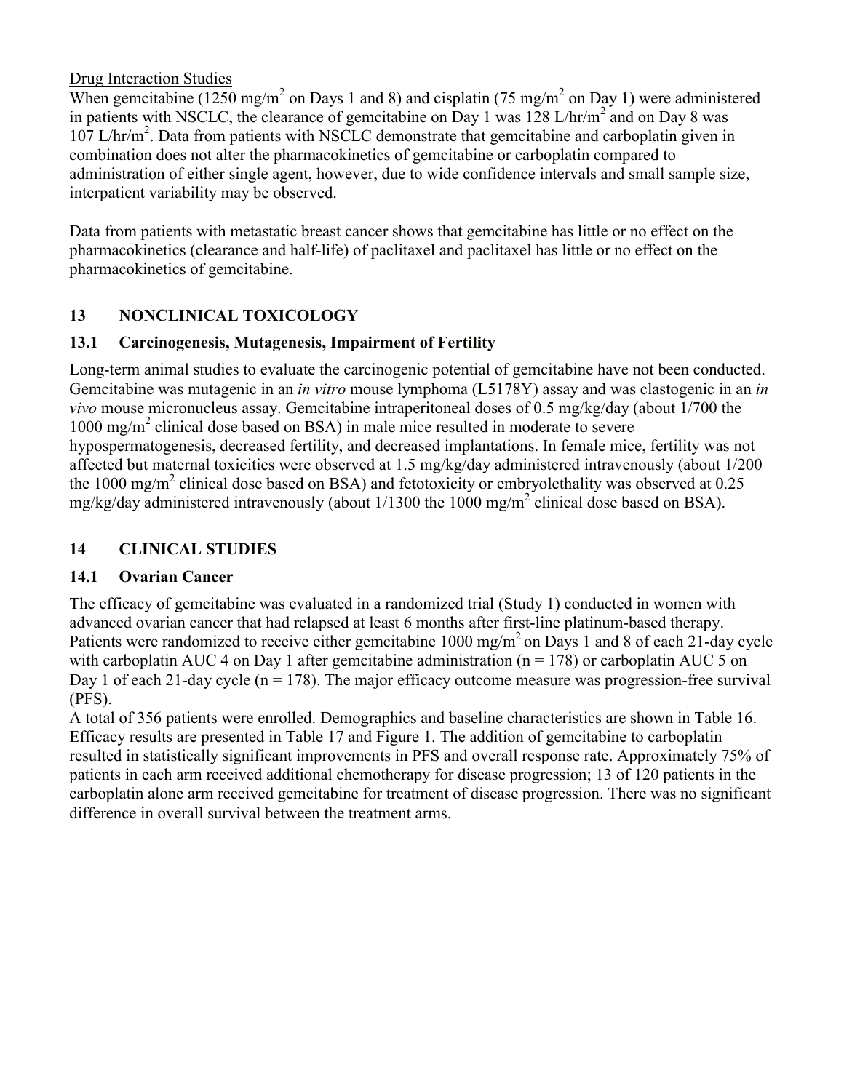## Drug Interaction Studies

When gemcitabine (1250 mg/m<sup>2</sup> on Days 1 and 8) and cisplatin (75 mg/m<sup>2</sup> on Day 1) were administered in patients with NSCLC, the clearance of gemcitabine on Day 1 was  $128$  L/hr/m<sup>2</sup> and on Day 8 was 107 L/hr/m<sup>2</sup>. Data from patients with NSCLC demonstrate that gemcitabine and carboplatin given in combination does not alter the pharmacokinetics of gemcitabine or carboplatin compared to administration of either single agent, however, due to wide confidence intervals and small sample size, interpatient variability may be observed.

Data from patients with metastatic breast cancer shows that gemcitabine has little or no effect on the pharmacokinetics (clearance and half-life) of paclitaxel and paclitaxel has little or no effect on the pharmacokinetics of gemcitabine.

## **13 NONCLINICAL TOXICOLOGY**

## **13.1 Carcinogenesis, Mutagenesis, Impairment of Fertility**

Long-term animal studies to evaluate the carcinogenic potential of gemcitabine have not been conducted. Gemcitabine was mutagenic in an *in vitro* mouse lymphoma (L5178Y) assay and was clastogenic in an *in vivo* mouse micronucleus assay. Gemcitabine intraperitoneal doses of 0.5 mg/kg/day (about 1/700 the 1000 mg/m<sup>2</sup> clinical dose based on BSA) in male mice resulted in moderate to severe hypospermatogenesis, decreased fertility, and decreased implantations. In female mice, fertility was not affected but maternal toxicities were observed at 1.5 mg/kg/day administered intravenously (about 1/200 the 1000 mg/m<sup>2</sup> clinical dose based on BSA) and fetotoxicity or embryolethality was observed at  $0.25$ mg/kg/day administered intravenously (about 1/1300 the 1000 mg/m<sup>2</sup> clinical dose based on BSA).

## **14 CLINICAL STUDIES**

## **14.1 Ovarian Cancer**

The efficacy of gemcitabine was evaluated in a randomized trial (Study 1) conducted in women with advanced ovarian cancer that had relapsed at least 6 months after first-line platinum-based therapy. Patients were randomized to receive either gemcitabine  $1000 \text{ mg/m}^2$  on Days 1 and 8 of each 21-day cycle with carboplatin AUC 4 on Day 1 after gemcitabine administration ( $n = 178$ ) or carboplatin AUC 5 on Day 1 of each 21-day cycle ( $n = 178$ ). The major efficacy outcome measure was progression-free survival (PFS).

A total of 356 patients were enrolled. Demographics and baseline characteristics are shown in Table 16. Efficacy results are presented in Table 17 and Figure 1. The addition of gemcitabine to carboplatin resulted in statistically significant improvements in PFS and overall response rate. Approximately 75% of patients in each arm received additional chemotherapy for disease progression; 13 of 120 patients in the carboplatin alone arm received gemcitabine for treatment of disease progression. There was no significant difference in overall survival between the treatment arms.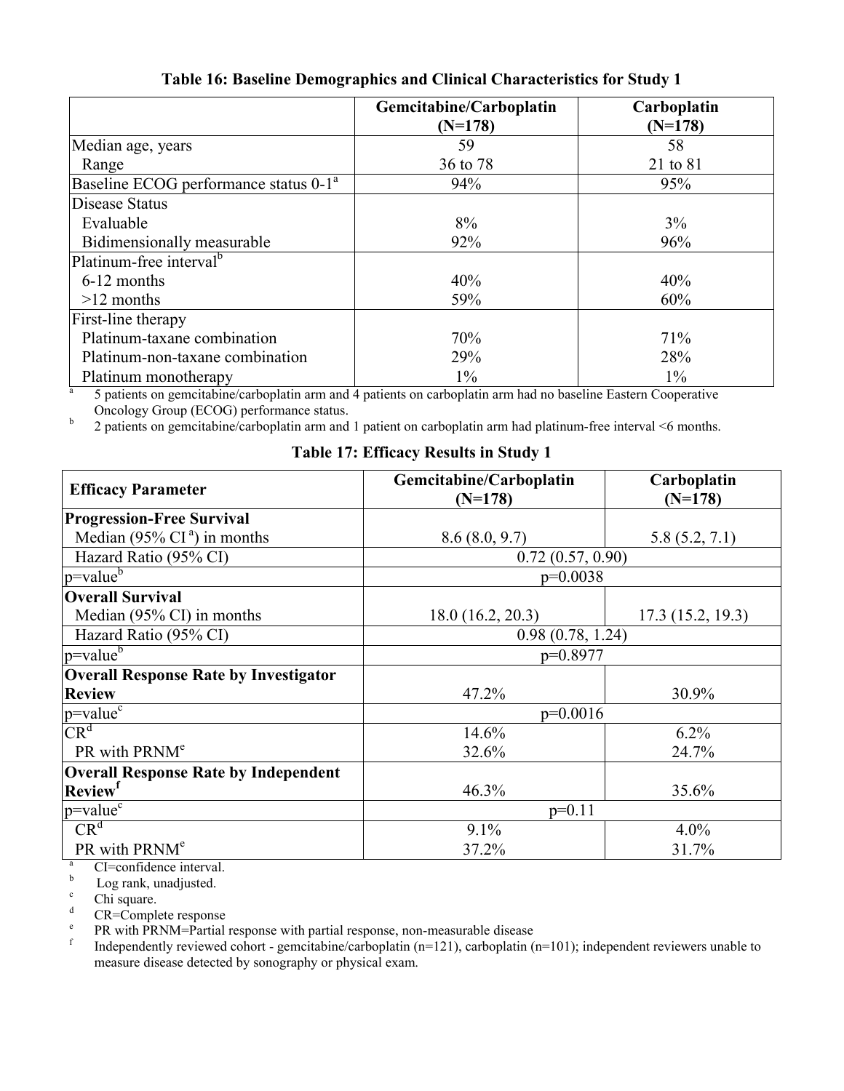|                                                   | Gemcitabine/Carboplatin<br>$(N=178)$ | Carboplatin<br>$(N=178)$ |
|---------------------------------------------------|--------------------------------------|--------------------------|
| Median age, years                                 | 59                                   | 58                       |
| Range                                             | 36 to 78                             | 21 to 81                 |
| Baseline ECOG performance status 0-1 <sup>a</sup> | 94%                                  | 95%                      |
| Disease Status                                    |                                      |                          |
| Evaluable                                         | 8%                                   | 3%                       |
| Bidimensionally measurable                        | 92%                                  | 96%                      |
| Platinum-free interval <sup>b</sup>               |                                      |                          |
| 6-12 months                                       | 40%                                  | 40%                      |
| $>12$ months                                      | 59%                                  | 60%                      |
| First-line therapy                                |                                      |                          |
| Platinum-taxane combination                       | 70%                                  | 71%                      |
| Platinum-non-taxane combination                   | 29%                                  | 28%                      |
| Platinum monotherapy                              | $1\%$                                | $1\%$                    |

**Table 16: Baseline Demographics and Clinical Characteristics for Study 1**

a 5 patients on gemcitabine/carboplatin arm and 4 patients on carboplatin arm had no baseline Eastern Cooperative Oncology Group (ECOG) performance status.

b 2 patients on gemcitabine/carboplatin arm and 1 patient on carboplatin arm had platinum-free interval <6 months.

**Table 17: Efficacy Results in Study 1**

| <b>Efficacy Parameter</b>                    | Gemcitabine/Carboplatin<br>$(N=178)$ | Carboplatin<br>$(N=178)$ |  |
|----------------------------------------------|--------------------------------------|--------------------------|--|
| <b>Progression-Free Survival</b>             |                                      |                          |  |
| Median (95% $CIa$ ) in months                | 8.6(8.0, 9.7)                        | 5.8(5.2, 7.1)            |  |
| Hazard Ratio (95% CI)                        | 0.72(0.57, 0.90)                     |                          |  |
| $ p=$ value $\overline{5}$                   | $p=0.0038$                           |                          |  |
| <b>Overall Survival</b>                      |                                      |                          |  |
| Median (95% CI) in months                    | 18.0(16.2, 20.3)                     | 17.3(15.2, 19.3)         |  |
| Hazard Ratio (95% CI)                        | 0.98(0.78, 1.24)                     |                          |  |
| $ p=$ value $\rm^b$                          | p=0.8977                             |                          |  |
| <b>Overall Response Rate by Investigator</b> |                                      |                          |  |
| <b>Review</b>                                | 47.2%                                | 30.9%                    |  |
| $p = value^c$                                | $p=0.0016$                           |                          |  |
| CR <sup>d</sup>                              | 14.6%                                | 6.2%                     |  |
| PR with PRNM <sup>e</sup>                    | 32.6%                                | 24.7%                    |  |
| <b>Overall Response Rate by Independent</b>  |                                      |                          |  |
| <b>Review</b> <sup>f</sup>                   | 46.3%                                | 35.6%                    |  |
| $p = value^c$                                | $p=0.11$                             |                          |  |
| CR <sup>d</sup>                              | 9.1%                                 | $4.0\%$                  |  |
| PR with PRNM <sup>e</sup>                    | 37.2%                                | 31.7%                    |  |

 $\frac{a}{b}$  CI=confidence interval.

 $\frac{b}{c}$  Log rank, unadjusted.

<sup>c</sup> Chi square.

CR=Complete response

e PR with PRNM=Partial response with partial response, non-measurable disease

f Independently reviewed cohort - gemcitabine/carboplatin (n=121), carboplatin (n=101); independent reviewers unable to measure disease detected by sonography or physical exam.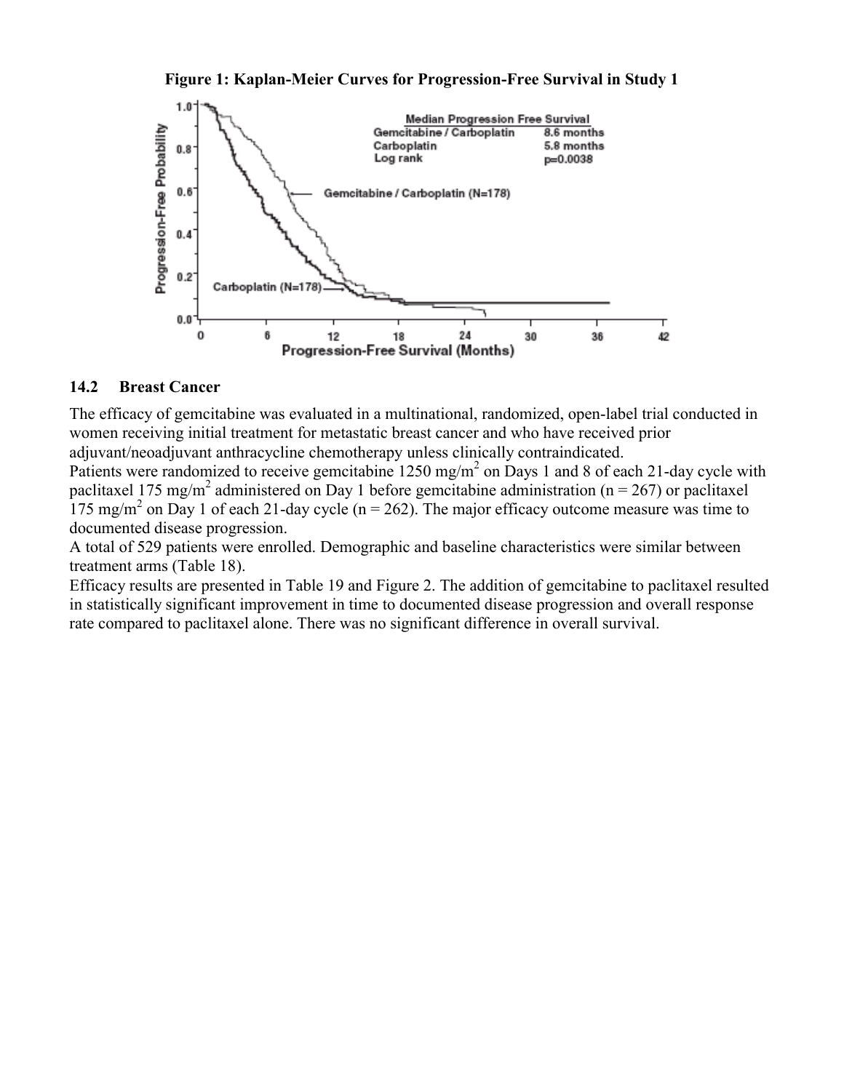#### **Figure 1: Kaplan-Meier Curves for Progression-Free Survival in Study 1**



#### **14.2 Breast Cancer**

The efficacy of gemcitabine was evaluated in a multinational, randomized, open-label trial conducted in women receiving initial treatment for metastatic breast cancer and who have received prior adjuvant/neoadjuvant anthracycline chemotherapy unless clinically contraindicated.

Patients were randomized to receive gemcitabine  $1250 \text{ mg/m}^2$  on Days 1 and 8 of each 21-day cycle with paclitaxel 175 mg/m<sup>2</sup> administered on Day 1 before gemcitabine administration (n = 267) or paclitaxel  $175 \text{ mg/m}^2$  on Day 1 of each 21-day cycle (n = 262). The major efficacy outcome measure was time to documented disease progression.

A total of 529 patients were enrolled. Demographic and baseline characteristics were similar between treatment arms (Table 18).

Efficacy results are presented in Table 19 and Figure 2. The addition of gemcitabine to paclitaxel resulted in statistically significant improvement in time to documented disease progression and overall response rate compared to paclitaxel alone. There was no significant difference in overall survival.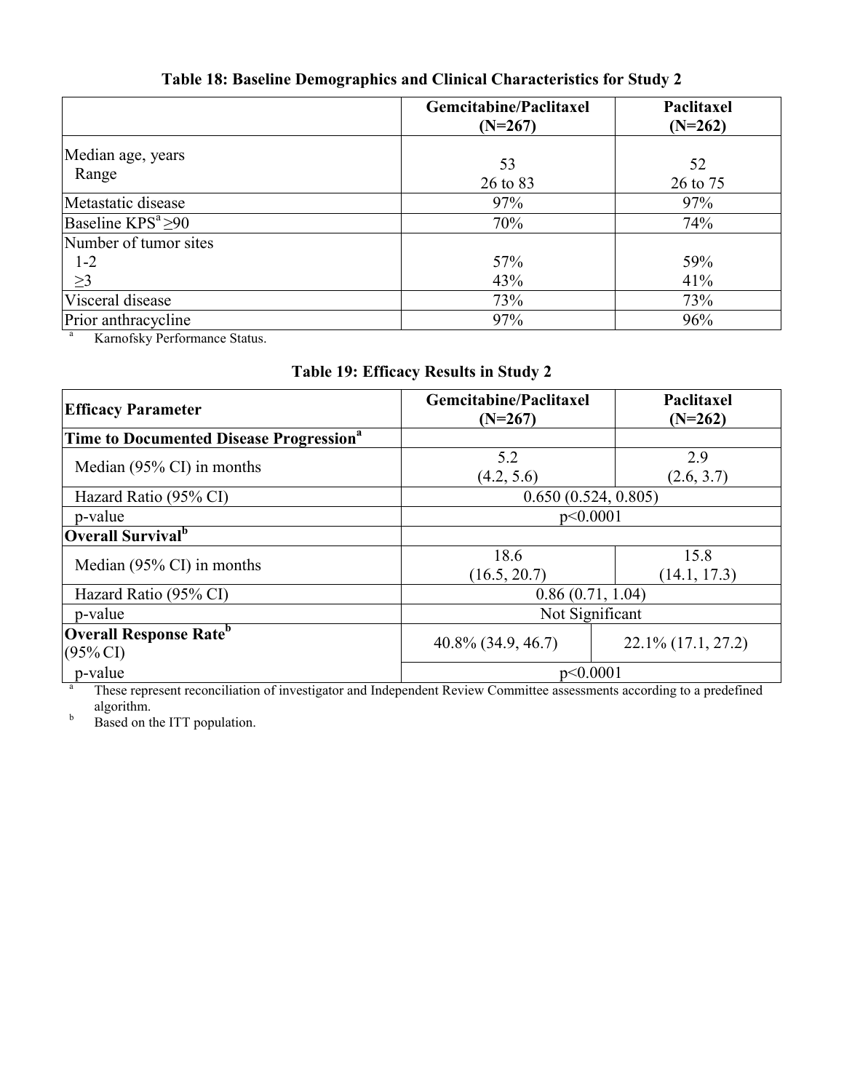|                            | Gemcitabine/Paclitaxel<br>$(N=267)$ | Paclitaxel<br>$(N=262)$ |
|----------------------------|-------------------------------------|-------------------------|
| Median age, years<br>Range | 53<br>26 to 83                      | 52<br>26 to 75          |
| Metastatic disease         | 97%                                 | 97%                     |
| Baseline $KPS^a \geq 90$   | 70%                                 | 74%                     |
| Number of tumor sites      |                                     |                         |
| $1 - 2$                    | 57%                                 | 59%                     |
| $\geq$ 3                   | 43%                                 | 41%                     |
| Visceral disease           | 73%                                 | 73%                     |
| Prior anthracycline        | 97%                                 | 96%                     |

# **Table 18: Baseline Demographics and Clinical Characteristics for Study 2**

<sup>a</sup> Karnofsky Performance Status.

| Table 19: Efficacy Results in Study 2 |  |  |  |  |  |
|---------------------------------------|--|--|--|--|--|
|---------------------------------------|--|--|--|--|--|

| <b>Efficacy Parameter</b>                                        | Gemcitabine/Paclitaxel<br>$(N=267)$ | Paclitaxel<br>$(N=262)$ |  |
|------------------------------------------------------------------|-------------------------------------|-------------------------|--|
| Time to Documented Disease Progression <sup>a</sup>              |                                     |                         |  |
| Median $(95\% \text{ CI})$ in months                             | 5.2<br>(4.2, 5.6)                   | 2.9<br>(2.6, 3.7)       |  |
| Hazard Ratio (95% CI)                                            | 0.650(0.524, 0.805)                 |                         |  |
| p-value                                                          | p<0.0001                            |                         |  |
| Overall Survival <sup>b</sup>                                    |                                     |                         |  |
| Median $(95\% \text{ CI})$ in months                             | 18.6<br>(16.5, 20.7)                | 15.8<br>(14.1, 17.3)    |  |
| Hazard Ratio (95% CI)                                            | 0.86(0.71, 1.04)                    |                         |  |
| p-value                                                          | Not Significant                     |                         |  |
| <b>Overall Response Rate</b> <sup>b</sup><br>$(95\% \text{ CI})$ | $40.8\%$ (34.9, 46.7)               | $22.1\%$ (17.1, 27.2)   |  |
| p-value                                                          | p<0.0001                            |                         |  |

<sup>a</sup> These represent reconciliation of investigator and Independent Review Committee assessments according to a predefined algorithm.

b Based on the ITT population.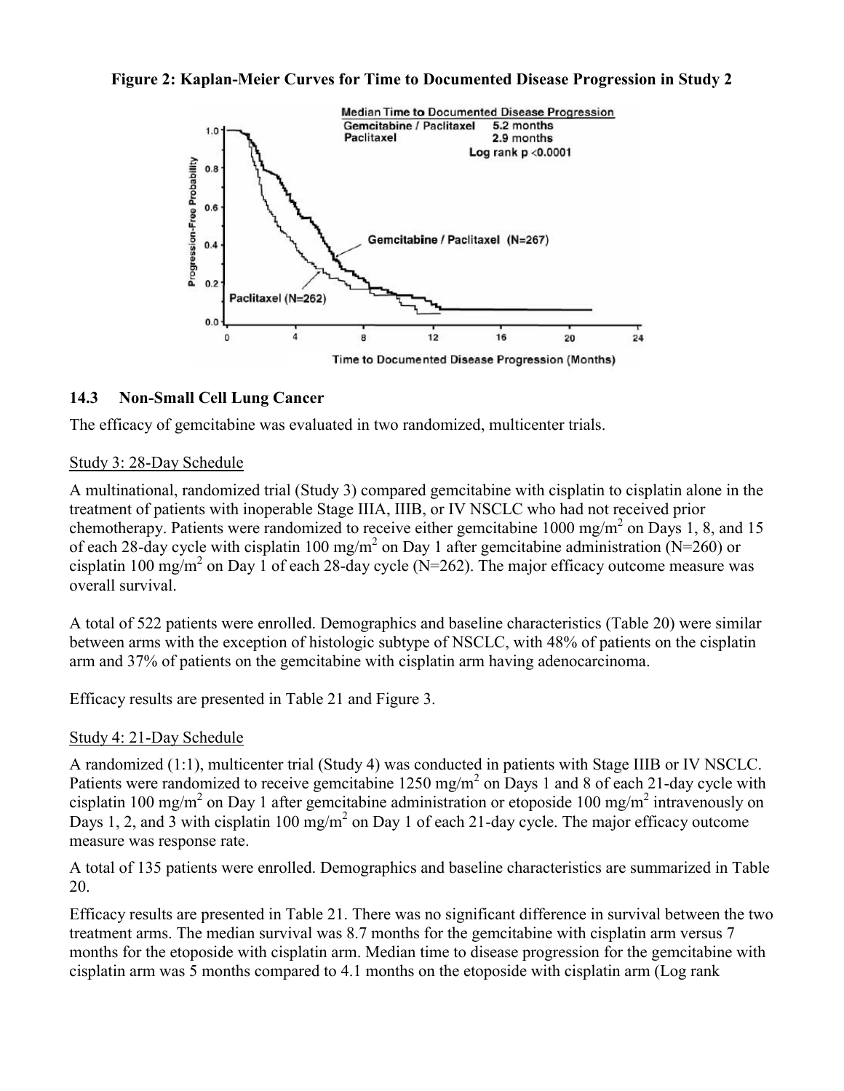



## **14.3 Non-Small Cell Lung Cancer**

The efficacy of gemcitabine was evaluated in two randomized, multicenter trials.

### Study 3: 28-Day Schedule

A multinational, randomized trial (Study 3) compared gemcitabine with cisplatin to cisplatin alone in the treatment of patients with inoperable Stage IIIA, IIIB, or IV NSCLC who had not received prior chemotherapy. Patients were randomized to receive either gemcitabine  $1000 \text{ mg/m}^2$  on Days 1, 8, and 15 of each 28-day cycle with cisplatin 100 mg/m<sup>2</sup> on Day 1 after gemcitabine administration (N=260) or cisplatin 100 mg/m<sup>2</sup> on Day 1 of each 28-day cycle (N=262). The major efficacy outcome measure was overall survival.

A total of 522 patients were enrolled. Demographics and baseline characteristics (Table 20) were similar between arms with the exception of histologic subtype of NSCLC, with 48% of patients on the cisplatin arm and 37% of patients on the gemcitabine with cisplatin arm having adenocarcinoma.

Efficacy results are presented in Table 21 and Figure 3.

### Study 4: 21-Day Schedule

A randomized (1:1), multicenter trial (Study 4) was conducted in patients with Stage IIIB or IV NSCLC. Patients were randomized to receive gemcitabine 1250 mg/m<sup>2</sup> on Days 1 and 8 of each 21-day cycle with cisplatin 100 mg/m<sup>2</sup> on Day 1 after gemcitabine administration or etoposide 100 mg/m<sup>2</sup> intravenously on Days 1, 2, and 3 with cisplatin 100 mg/m<sup>2</sup> on Day 1 of each 21-day cycle. The major efficacy outcome measure was response rate.

A total of 135 patients were enrolled. Demographics and baseline characteristics are summarized in Table 20.

Efficacy results are presented in Table 21. There was no significant difference in survival between the two treatment arms. The median survival was 8.7 months for the gemcitabine with cisplatin arm versus 7 months for the etoposide with cisplatin arm. Median time to disease progression for the gemcitabine with cisplatin arm was 5 months compared to 4.1 months on the etoposide with cisplatin arm (Log rank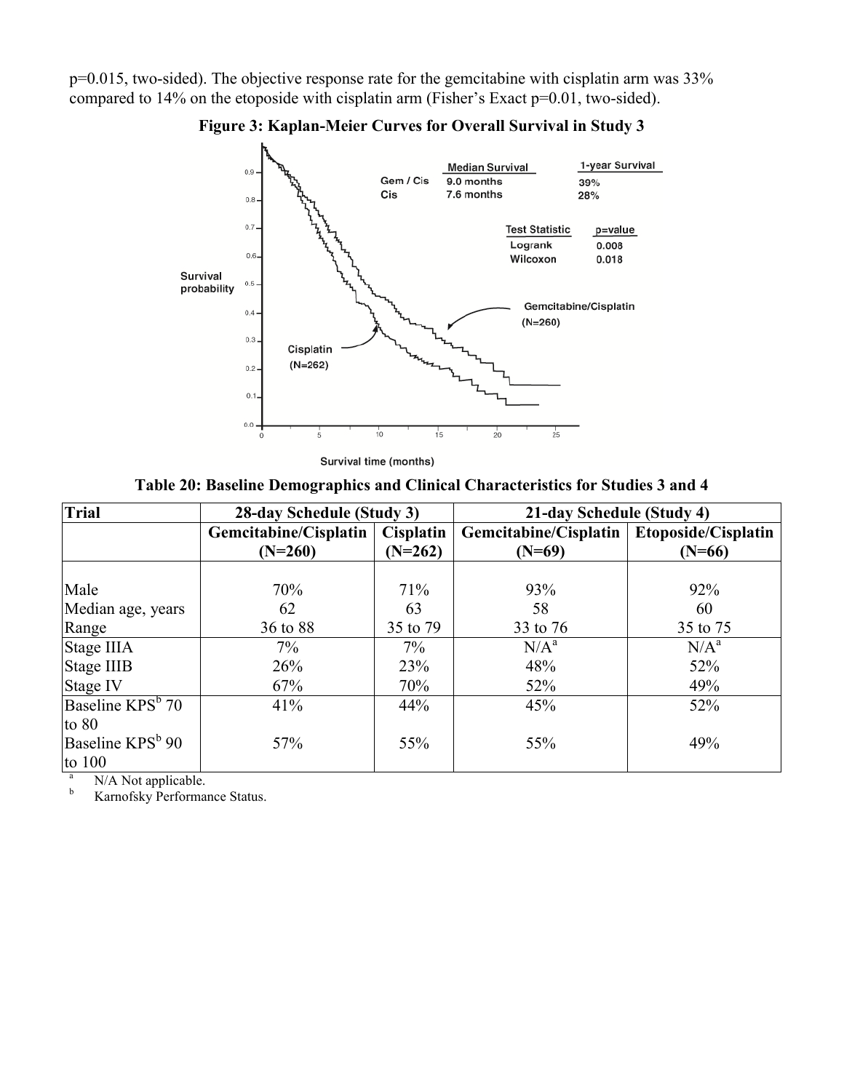p=0.015, two-sided). The objective response rate for the gemcitabine with cisplatin arm was 33% compared to 14% on the etoposide with cisplatin arm (Fisher's Exact p=0.01, two-sided).



**Figure 3: Kaplan-Meier Curves for Overall Survival in Study 3**

Survival time (months)

**Table 20: Baseline Demographics and Clinical Characteristics for Studies 3 and 4**

| <b>Trial</b>                 | 28-day Schedule (Study 3) |           | 21-day Schedule (Study 4) |                     |
|------------------------------|---------------------------|-----------|---------------------------|---------------------|
|                              | Gemcitabine/Cisplatin     | Cisplatin | Gemcitabine/Cisplatin     | Etoposide/Cisplatin |
|                              | $(N=260)$                 | $(N=262)$ | $(N=69)$                  | $(N=66)$            |
|                              |                           |           |                           |                     |
| Male                         | 70%                       | 71%       | 93%                       | 92%                 |
| Median age, years            | 62                        | 63        | 58                        | 60                  |
| Range                        | 36 to 88                  | 35 to 79  | 33 to 76                  | 35 to 75            |
| Stage IIIA                   | $7\%$                     | 7%        | $N/A^a$                   | $N/A^a$             |
| Stage IIIB                   | 26%                       | 23%       | 48%                       | 52%                 |
| Stage IV                     | 67%                       | 70%       | 52%                       | 49%                 |
| Baseline KPS <sup>b</sup> 70 | 41%                       | 44%       | 45%                       | 52%                 |
| to $80$                      |                           |           |                           |                     |
| Baseline KPS <sup>b</sup> 90 | 57%                       | 55%       | 55%                       | 49%                 |
| to $100$                     |                           |           |                           |                     |

 $N/A$  Not applicable.

Karnofsky Performance Status.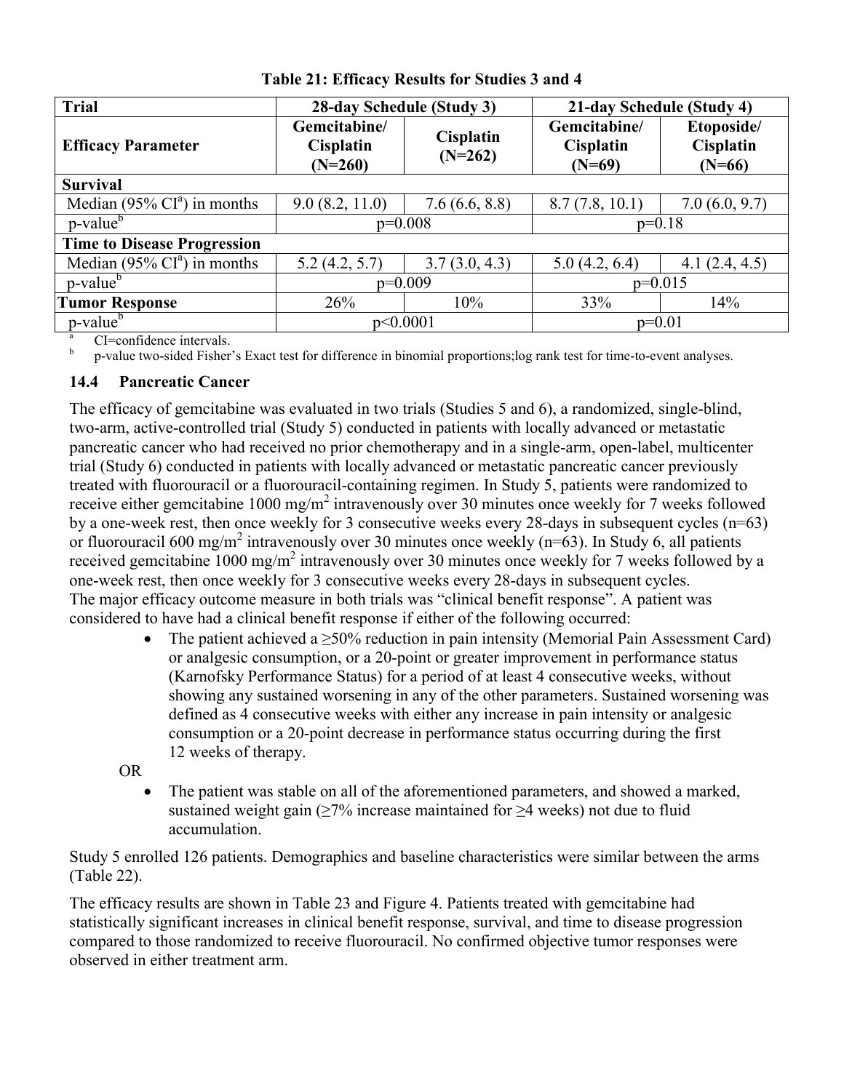| Trial                              | 28-day Schedule (Study 3)                                                      |               | 21-day Schedule (Study 4)             |                                            |
|------------------------------------|--------------------------------------------------------------------------------|---------------|---------------------------------------|--------------------------------------------|
| <b>Efficacy Parameter</b>          | Gemcitabine/<br><b>Cisplatin</b><br><b>Cisplatin</b><br>$(N=262)$<br>$(N=260)$ |               | Gemcitabine/<br>Cisplatin<br>$(N=69)$ | Etoposide/<br><b>Cisplatin</b><br>$(N=66)$ |
| <b>Survival</b>                    |                                                                                |               |                                       |                                            |
| Median (95% $CIa$ ) in months      | 9.0(8.2, 11.0)<br>7.6(6.6, 8.8)                                                |               | 8.7(7.8, 10.1)                        | 7.0(6.0, 9.7)                              |
| p-value <sup>b</sup>               | $p=0.008$                                                                      |               | $p=0.18$                              |                                            |
| <b>Time to Disease Progression</b> |                                                                                |               |                                       |                                            |
| Median (95% $CIa$ ) in months      | 5.2(4.2, 5.7)                                                                  | 3.7(3.0, 4.3) | 5.0(4.2, 6.4)                         | 4.1(2.4, 4.5)                              |
| p-value <sup>b</sup>               | $p=0.009$                                                                      |               | $p=0.015$                             |                                            |
| <b>Tumor Response</b>              | 26%                                                                            | 10%           | 33%                                   | 14%                                        |
| p-value <sup>b</sup>               | p<0.0001                                                                       |               | $p=0.01$                              |                                            |

**Table 21: Efficacy Results for Studies 3 and 4**

<sup>a</sup> CI=confidence intervals. b

p-value two-sided Fisher's Exact test for difference in binomial proportions;log rank test for time-to-event analyses.

## **14.4 Pancreatic Cancer**

The efficacy of gemcitabine was evaluated in two trials (Studies 5 and 6), a randomized, single-blind, two-arm, active-controlled trial (Study 5) conducted in patients with locally advanced or metastatic pancreatic cancer who had received no prior chemotherapy and in a single-arm, open-label, multicenter trial (Study 6) conducted in patients with locally advanced or metastatic pancreatic cancer previously treated with fluorouracil or a fluorouracil-containing regimen. In Study 5, patients were randomized to receive either gemcitabine 1000 mg/m<sup>2</sup> intravenously over 30 minutes once weekly for 7 weeks followed by a one-week rest, then once weekly for 3 consecutive weeks every 28-days in subsequent cycles (n=63) or fluorouracil 600 mg/m<sup>2</sup> intravenously over 30 minutes once weekly (n=63). In Study 6, all patients received gemcitabine  $1000 \text{ mg/m}^2$  intravenously over 30 minutes once weekly for 7 weeks followed by a one-week rest, then once weekly for 3 consecutive weeks every 28-days in subsequent cycles. The major efficacy outcome measure in both trials was "clinical benefit response". A patient was considered to have had a clinical benefit response if either of the following occurred:

The patient achieved a  $\geq$ 50% reduction in pain intensity (Memorial Pain Assessment Card) or analgesic consumption, or a 20-point or greater improvement in performance status (Karnofsky Performance Status) for a period of at least 4 consecutive weeks, without showing any sustained worsening in any of the other parameters. Sustained worsening was defined as 4 consecutive weeks with either any increase in pain intensity or analgesic consumption or a 20-point decrease in performance status occurring during the first 12 weeks of therapy.

OR

 The patient was stable on all of the aforementioned parameters, and showed a marked, sustained weight gain ( $\geq$ 7% increase maintained for  $\geq$ 4 weeks) not due to fluid accumulation.

Study 5 enrolled 126 patients. Demographics and baseline characteristics were similar between the arms (Table 22).

The efficacy results are shown in Table 23 and Figure 4. Patients treated with gemcitabine had statistically significant increases in clinical benefit response, survival, and time to disease progression compared to those randomized to receive fluorouracil. No confirmed objective tumor responses were observed in either treatment arm.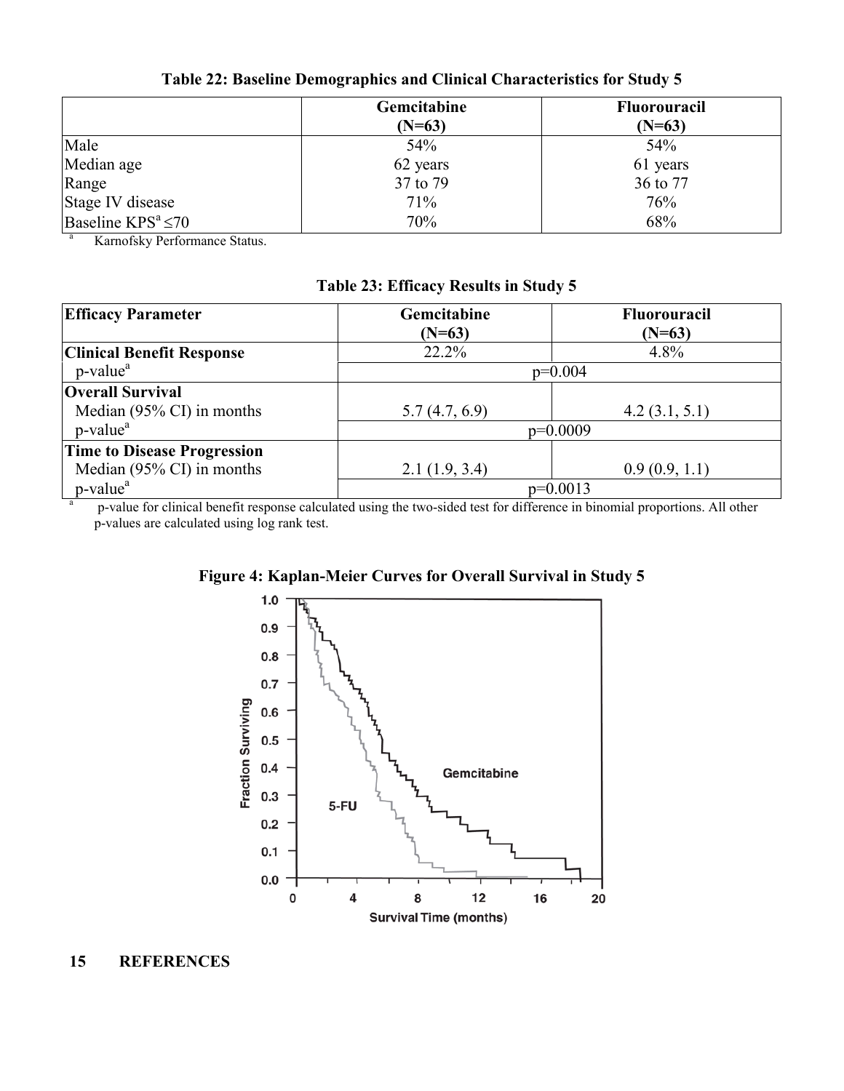|                          | Gemcitabine | <b>Fluorouracil</b> |
|--------------------------|-------------|---------------------|
|                          | $(N=63)$    | $(N=63)$            |
| Male                     | 54%         | 54%                 |
| Median age               | 62 years    | 61 years            |
| Range                    | 37 to 79    | 36 to 77            |
| Stage IV disease         | 71%         | 76%                 |
| Baseline $KPS^a \leq 70$ | 70%         | 68%                 |

**Table 22: Baseline Demographics and Clinical Characteristics for Study 5**

<sup>a</sup> Karnofsky Performance Status.

| <b>Efficacy Parameter</b>            | Gemcitabine                                                                                                                        | <b>Fluorouracil</b> |
|--------------------------------------|------------------------------------------------------------------------------------------------------------------------------------|---------------------|
|                                      | $(N=63)$                                                                                                                           | $(N=63)$            |
| <b>Clinical Benefit Response</b>     | 22.2%                                                                                                                              | 4.8%                |
| p-value <sup>a</sup>                 | $p=0.004$                                                                                                                          |                     |
| <b>Overall Survival</b>              |                                                                                                                                    |                     |
| Median $(95\% \text{ CI})$ in months | 5.7(4.7, 6.9)                                                                                                                      | 4.2(3.1, 5.1)       |
| p-value <sup>a</sup>                 | $p=0.0009$                                                                                                                         |                     |
| <b>Time to Disease Progression</b>   |                                                                                                                                    |                     |
| Median $(95\% \text{ CI})$ in months | 2.1(1.9, 3.4)                                                                                                                      | 0.9(0.9, 1.1)       |
| p-value <sup>a</sup>                 | $p=0.0013$<br>and the familiar than official and contained in the districted that familifference in him and a memorian and only of |                     |

p-value for clinical benefit response calculated using the two-sided test for difference in binomial proportions. All other p-values are calculated using log rank test.



## **Figure 4: Kaplan-Meier Curves for Overall Survival in Study 5**

#### **15 REFERENCES**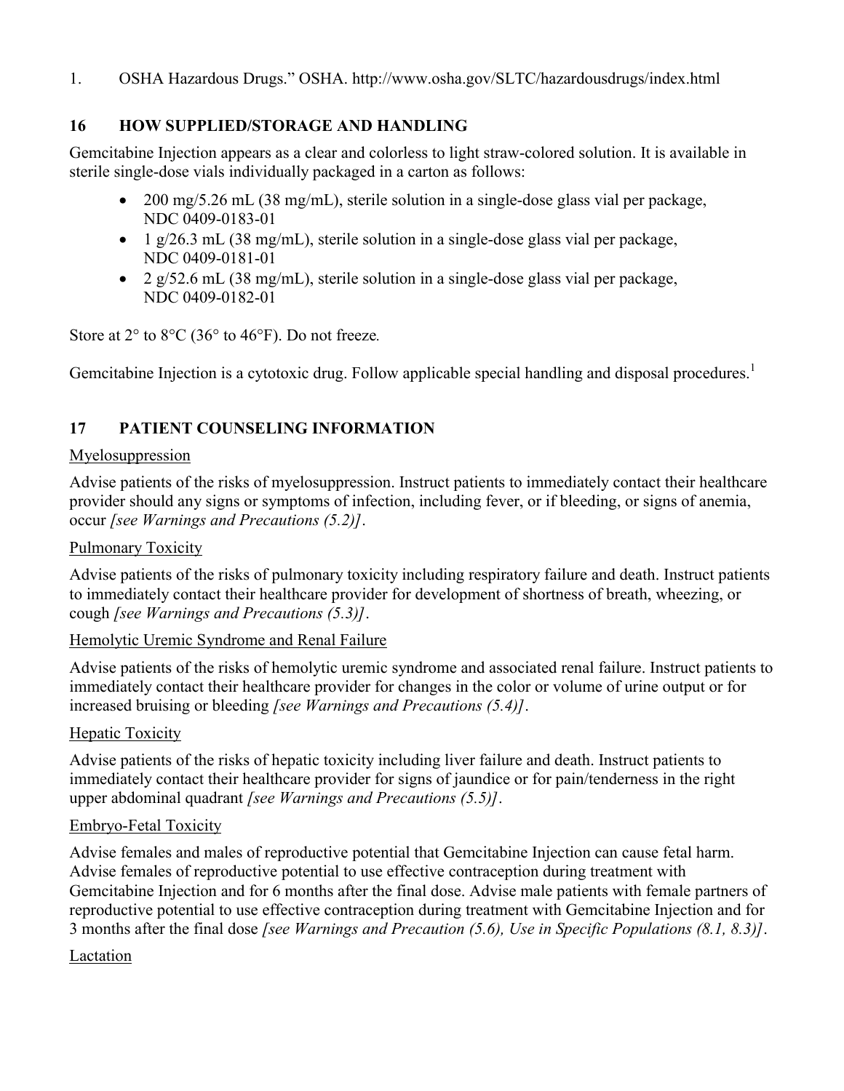1. OSHA Hazardous Drugs." OSHA. http://www.osha.gov/SLTC/hazardousdrugs/index.html

## **16 HOW SUPPLIED/STORAGE AND HANDLING**

Gemcitabine Injection appears as a clear and colorless to light straw-colored solution. It is available in sterile single-dose vials individually packaged in a carton as follows:

- 200 mg/5.26 mL (38 mg/mL), sterile solution in a single-dose glass vial per package, NDC 0409-0183-01
- $\bullet$  1 g/26.3 mL (38 mg/mL), sterile solution in a single-dose glass vial per package, NDC 0409-0181-01
- 2 g/52.6 mL (38 mg/mL), sterile solution in a single-dose glass vial per package, NDC 0409-0182-01

Store at 2° to 8°C (36° to 46°F). Do not freeze*.*

Gemcitabine Injection is a cytotoxic drug. Follow applicable special handling and disposal procedures.<sup>1</sup>

## **17 PATIENT COUNSELING INFORMATION**

#### Myelosuppression

Advise patients of the risks of myelosuppression. Instruct patients to immediately contact their healthcare provider should any signs or symptoms of infection, including fever, or if bleeding, or signs of anemia, occur *[see Warnings and Precautions (5.2)]*.

### Pulmonary Toxicity

Advise patients of the risks of pulmonary toxicity including respiratory failure and death. Instruct patients to immediately contact their healthcare provider for development of shortness of breath, wheezing, or cough *[see Warnings and Precautions (5.3)]*.

### Hemolytic Uremic Syndrome and Renal Failure

Advise patients of the risks of hemolytic uremic syndrome and associated renal failure. Instruct patients to immediately contact their healthcare provider for changes in the color or volume of urine output or for increased bruising or bleeding *[see Warnings and Precautions (5.4)]*.

### **Hepatic Toxicity**

Advise patients of the risks of hepatic toxicity including liver failure and death. Instruct patients to immediately contact their healthcare provider for signs of jaundice or for pain/tenderness in the right upper abdominal quadrant *[see Warnings and Precautions (5.5)]*.

### Embryo-Fetal Toxicity

Advise females and males of reproductive potential that Gemcitabine Injection can cause fetal harm. Advise females of reproductive potential to use effective contraception during treatment with Gemcitabine Injection and for 6 months after the final dose. Advise male patients with female partners of reproductive potential to use effective contraception during treatment with Gemcitabine Injection and for 3 months after the final dose *[see Warnings and Precaution (5.6), Use in Specific Populations (8.1, 8.3)]*.

### Lactation